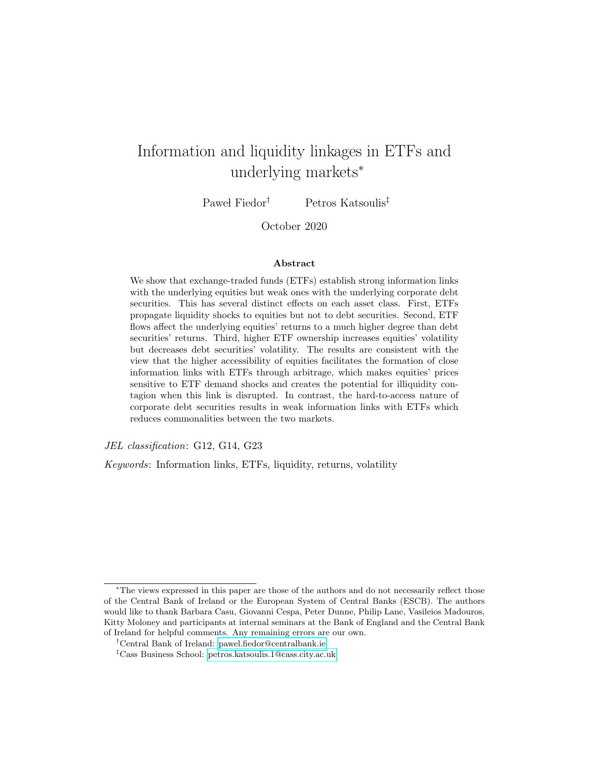# Information and liquidity linkages in ETFs and underlying markets<sup>∗</sup>

Pawel Fiedor<sup>†</sup> Petros Katsoulis<sup>‡</sup>

October 2020

#### Abstract

We show that exchange-traded funds (ETFs) establish strong information links with the underlying equities but weak ones with the underlying corporate debt securities. This has several distinct effects on each asset class. First, ETFs propagate liquidity shocks to equities but not to debt securities. Second, ETF flows affect the underlying equities' returns to a much higher degree than debt securities' returns. Third, higher ETF ownership increases equities' volatility but decreases debt securities' volatility. The results are consistent with the view that the higher accessibility of equities facilitates the formation of close information links with ETFs through arbitrage, which makes equities' prices sensitive to ETF demand shocks and creates the potential for illiquidity contagion when this link is disrupted. In contrast, the hard-to-access nature of corporate debt securities results in weak information links with ETFs which reduces commonalities between the two markets.

JEL classification: G12, G14, G23

Keywords: Information links, ETFs, liquidity, returns, volatility

<sup>∗</sup>The views expressed in this paper are those of the authors and do not necessarily reflect those of the Central Bank of Ireland or the European System of Central Banks (ESCB). The authors would like to thank Barbara Casu, Giovanni Cespa, Peter Dunne, Philip Lane, Vasileios Madouros, Kitty Moloney and participants at internal seminars at the Bank of England and the Central Bank of Ireland for helpful comments. Any remaining errors are our own.

<sup>†</sup>Central Bank of Ireland: [pawel.fiedor@centralbank.ie](mailto:pawel.fiedor@centralbank.ie)

<sup>‡</sup>Cass Business School: [petros.katsoulis.1@cass.city.ac.uk](mailto:petros.katsoulis.1@cass.city.ac.uk)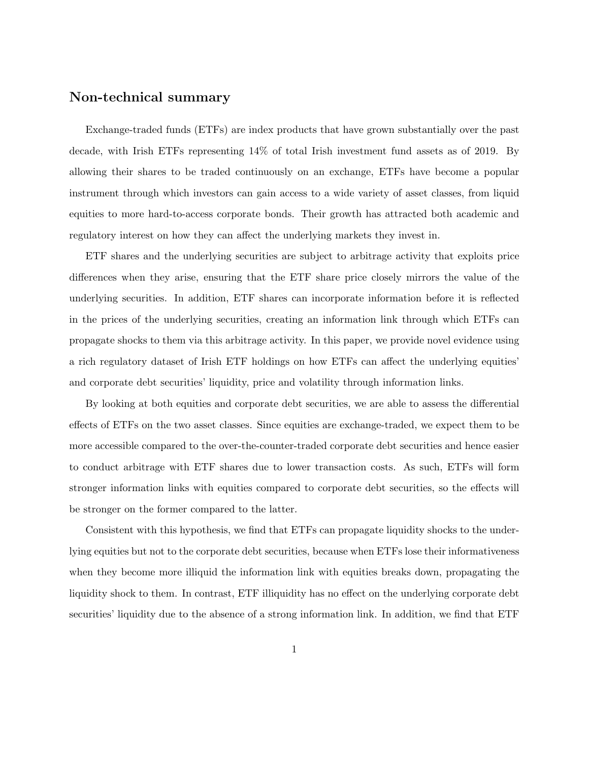## Non-technical summary

Exchange-traded funds (ETFs) are index products that have grown substantially over the past decade, with Irish ETFs representing 14% of total Irish investment fund assets as of 2019. By allowing their shares to be traded continuously on an exchange, ETFs have become a popular instrument through which investors can gain access to a wide variety of asset classes, from liquid equities to more hard-to-access corporate bonds. Their growth has attracted both academic and regulatory interest on how they can affect the underlying markets they invest in.

ETF shares and the underlying securities are subject to arbitrage activity that exploits price differences when they arise, ensuring that the ETF share price closely mirrors the value of the underlying securities. In addition, ETF shares can incorporate information before it is reflected in the prices of the underlying securities, creating an information link through which ETFs can propagate shocks to them via this arbitrage activity. In this paper, we provide novel evidence using a rich regulatory dataset of Irish ETF holdings on how ETFs can affect the underlying equities' and corporate debt securities' liquidity, price and volatility through information links.

By looking at both equities and corporate debt securities, we are able to assess the differential effects of ETFs on the two asset classes. Since equities are exchange-traded, we expect them to be more accessible compared to the over-the-counter-traded corporate debt securities and hence easier to conduct arbitrage with ETF shares due to lower transaction costs. As such, ETFs will form stronger information links with equities compared to corporate debt securities, so the effects will be stronger on the former compared to the latter.

Consistent with this hypothesis, we find that ETFs can propagate liquidity shocks to the underlying equities but not to the corporate debt securities, because when ETFs lose their informativeness when they become more illiquid the information link with equities breaks down, propagating the liquidity shock to them. In contrast, ETF illiquidity has no effect on the underlying corporate debt securities' liquidity due to the absence of a strong information link. In addition, we find that ETF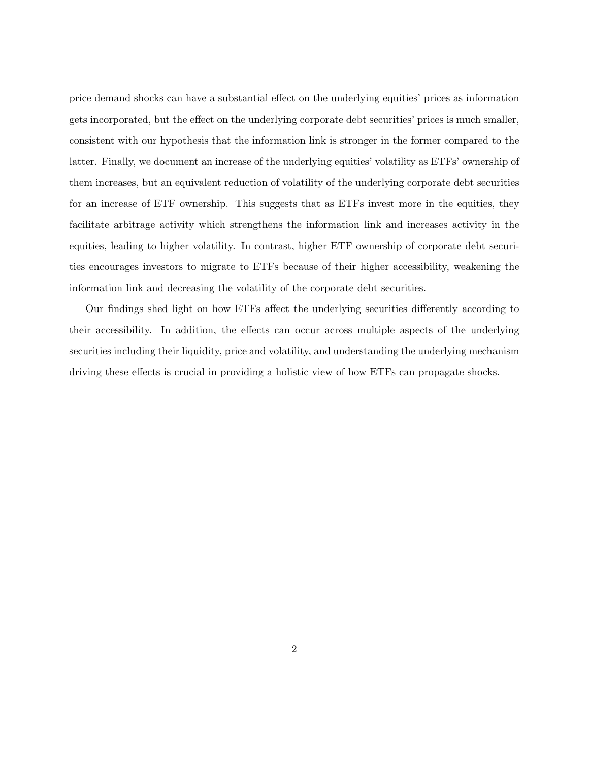price demand shocks can have a substantial effect on the underlying equities' prices as information gets incorporated, but the effect on the underlying corporate debt securities' prices is much smaller, consistent with our hypothesis that the information link is stronger in the former compared to the latter. Finally, we document an increase of the underlying equities' volatility as ETFs' ownership of them increases, but an equivalent reduction of volatility of the underlying corporate debt securities for an increase of ETF ownership. This suggests that as ETFs invest more in the equities, they facilitate arbitrage activity which strengthens the information link and increases activity in the equities, leading to higher volatility. In contrast, higher ETF ownership of corporate debt securities encourages investors to migrate to ETFs because of their higher accessibility, weakening the information link and decreasing the volatility of the corporate debt securities.

Our findings shed light on how ETFs affect the underlying securities differently according to their accessibility. In addition, the effects can occur across multiple aspects of the underlying securities including their liquidity, price and volatility, and understanding the underlying mechanism driving these effects is crucial in providing a holistic view of how ETFs can propagate shocks.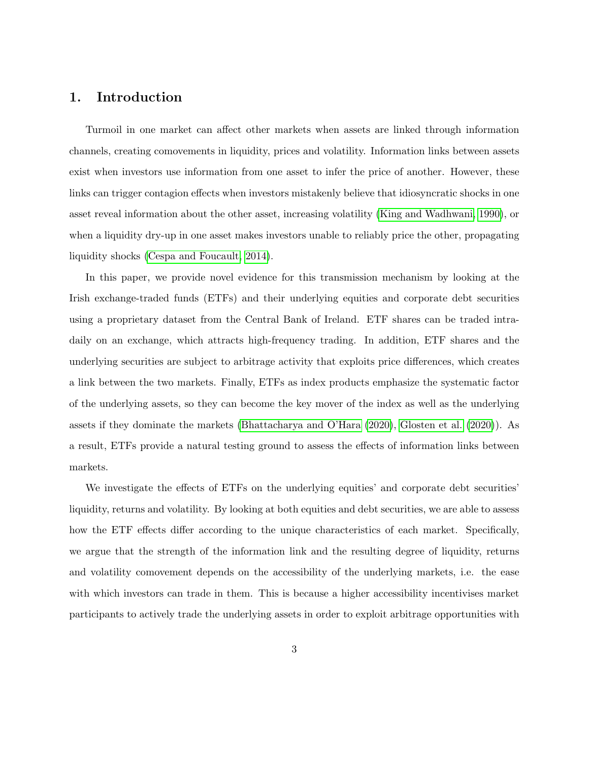## 1. Introduction

Turmoil in one market can affect other markets when assets are linked through information channels, creating comovements in liquidity, prices and volatility. Information links between assets exist when investors use information from one asset to infer the price of another. However, these links can trigger contagion effects when investors mistakenly believe that idiosyncratic shocks in one asset reveal information about the other asset, increasing volatility [\(King and Wadhwani, 1990\)](#page-35-0), or when a liquidity dry-up in one asset makes investors unable to reliably price the other, propagating liquidity shocks [\(Cespa and Foucault, 2014\)](#page-35-1).

In this paper, we provide novel evidence for this transmission mechanism by looking at the Irish exchange-traded funds (ETFs) and their underlying equities and corporate debt securities using a proprietary dataset from the Central Bank of Ireland. ETF shares can be traded intradaily on an exchange, which attracts high-frequency trading. In addition, ETF shares and the underlying securities are subject to arbitrage activity that exploits price differences, which creates a link between the two markets. Finally, ETFs as index products emphasize the systematic factor of the underlying assets, so they can become the key mover of the index as well as the underlying assets if they dominate the markets [\(Bhattacharya and O'Hara](#page-34-0) [\(2020\)](#page-34-0), [Glosten et al.](#page-35-2) [\(2020\)](#page-35-2)). As a result, ETFs provide a natural testing ground to assess the effects of information links between markets.

We investigate the effects of ETFs on the underlying equities' and corporate debt securities' liquidity, returns and volatility. By looking at both equities and debt securities, we are able to assess how the ETF effects differ according to the unique characteristics of each market. Specifically, we argue that the strength of the information link and the resulting degree of liquidity, returns and volatility comovement depends on the accessibility of the underlying markets, i.e. the ease with which investors can trade in them. This is because a higher accessibility incentivises market participants to actively trade the underlying assets in order to exploit arbitrage opportunities with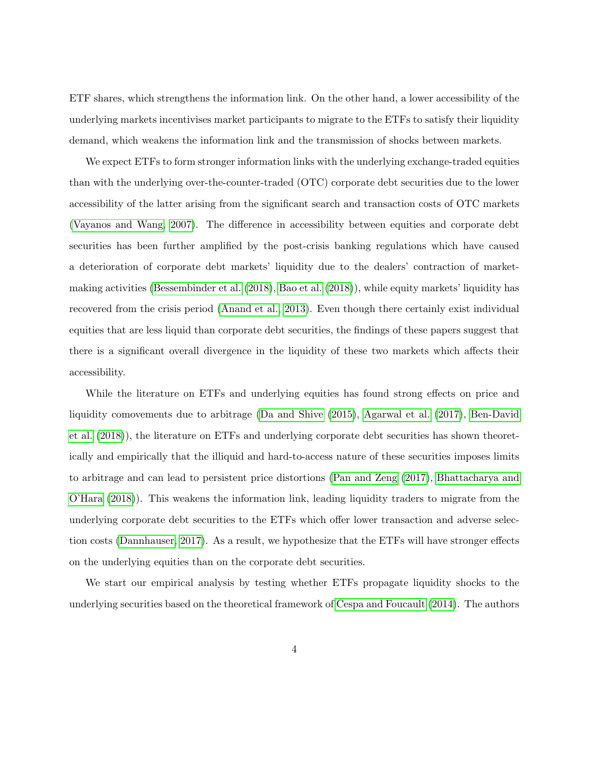ETF shares, which strengthens the information link. On the other hand, a lower accessibility of the underlying markets incentivises market participants to migrate to the ETFs to satisfy their liquidity demand, which weakens the information link and the transmission of shocks between markets.

We expect ETFs to form stronger information links with the underlying exchange-traded equities than with the underlying over-the-counter-traded (OTC) corporate debt securities due to the lower accessibility of the latter arising from the significant search and transaction costs of OTC markets [\(Vayanos and Wang, 2007\)](#page-36-0). The difference in accessibility between equities and corporate debt securities has been further amplified by the post-crisis banking regulations which have caused a deterioration of corporate debt markets' liquidity due to the dealers' contraction of marketmaking activities [\(Bessembinder et al.](#page-34-1) [\(2018\)](#page-34-1), [Bao et al.](#page-34-2) [\(2018\)](#page-34-2)), while equity markets' liquidity has recovered from the crisis period [\(Anand et al., 2013\)](#page-34-3). Even though there certainly exist individual equities that are less liquid than corporate debt securities, the findings of these papers suggest that there is a significant overall divergence in the liquidity of these two markets which affects their accessibility.

While the literature on ETFs and underlying equities has found strong effects on price and liquidity comovements due to arbitrage [\(Da and Shive](#page-35-3) [\(2015\)](#page-35-3), [Agarwal et al.](#page-34-4) [\(2017\)](#page-34-4), [Ben-David](#page-34-5) [et al.](#page-34-5) [\(2018\)](#page-34-5)), the literature on ETFs and underlying corporate debt securities has shown theoretically and empirically that the illiquid and hard-to-access nature of these securities imposes limits to arbitrage and can lead to persistent price distortions [\(Pan and Zeng](#page-36-1) [\(2017\)](#page-36-1), [Bhattacharya and](#page-34-6) [O'Hara](#page-34-6) [\(2018\)](#page-34-6)). This weakens the information link, leading liquidity traders to migrate from the underlying corporate debt securities to the ETFs which offer lower transaction and adverse selection costs [\(Dannhauser, 2017\)](#page-35-4). As a result, we hypothesize that the ETFs will have stronger effects on the underlying equities than on the corporate debt securities.

We start our empirical analysis by testing whether ETFs propagate liquidity shocks to the underlying securities based on the theoretical framework of [Cespa and Foucault](#page-35-1) [\(2014\)](#page-35-1). The authors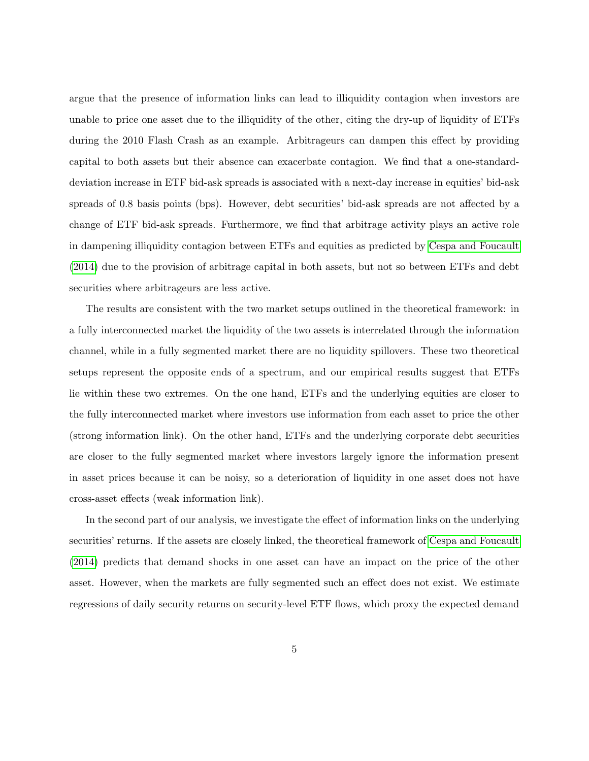argue that the presence of information links can lead to illiquidity contagion when investors are unable to price one asset due to the illiquidity of the other, citing the dry-up of liquidity of ETFs during the 2010 Flash Crash as an example. Arbitrageurs can dampen this effect by providing capital to both assets but their absence can exacerbate contagion. We find that a one-standarddeviation increase in ETF bid-ask spreads is associated with a next-day increase in equities' bid-ask spreads of 0.8 basis points (bps). However, debt securities' bid-ask spreads are not affected by a change of ETF bid-ask spreads. Furthermore, we find that arbitrage activity plays an active role in dampening illiquidity contagion between ETFs and equities as predicted by [Cespa and Foucault](#page-35-1) [\(2014\)](#page-35-1) due to the provision of arbitrage capital in both assets, but not so between ETFs and debt securities where arbitrageurs are less active.

The results are consistent with the two market setups outlined in the theoretical framework: in a fully interconnected market the liquidity of the two assets is interrelated through the information channel, while in a fully segmented market there are no liquidity spillovers. These two theoretical setups represent the opposite ends of a spectrum, and our empirical results suggest that ETFs lie within these two extremes. On the one hand, ETFs and the underlying equities are closer to the fully interconnected market where investors use information from each asset to price the other (strong information link). On the other hand, ETFs and the underlying corporate debt securities are closer to the fully segmented market where investors largely ignore the information present in asset prices because it can be noisy, so a deterioration of liquidity in one asset does not have cross-asset effects (weak information link).

In the second part of our analysis, we investigate the effect of information links on the underlying securities' returns. If the assets are closely linked, the theoretical framework of [Cespa and Foucault](#page-35-1) [\(2014\)](#page-35-1) predicts that demand shocks in one asset can have an impact on the price of the other asset. However, when the markets are fully segmented such an effect does not exist. We estimate regressions of daily security returns on security-level ETF flows, which proxy the expected demand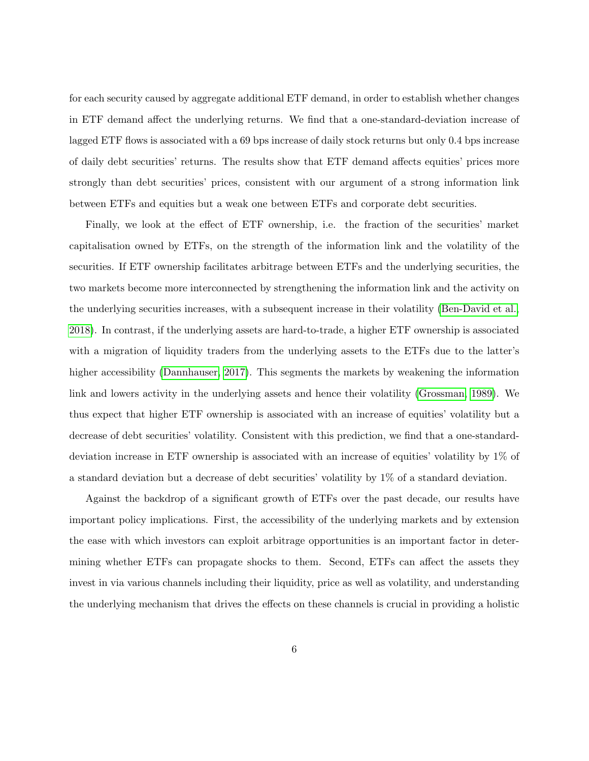for each security caused by aggregate additional ETF demand, in order to establish whether changes in ETF demand affect the underlying returns. We find that a one-standard-deviation increase of lagged ETF flows is associated with a 69 bps increase of daily stock returns but only 0.4 bps increase of daily debt securities' returns. The results show that ETF demand affects equities' prices more strongly than debt securities' prices, consistent with our argument of a strong information link between ETFs and equities but a weak one between ETFs and corporate debt securities.

Finally, we look at the effect of ETF ownership, i.e. the fraction of the securities' market capitalisation owned by ETFs, on the strength of the information link and the volatility of the securities. If ETF ownership facilitates arbitrage between ETFs and the underlying securities, the two markets become more interconnected by strengthening the information link and the activity on the underlying securities increases, with a subsequent increase in their volatility [\(Ben-David et al.,](#page-34-5) [2018\)](#page-34-5). In contrast, if the underlying assets are hard-to-trade, a higher ETF ownership is associated with a migration of liquidity traders from the underlying assets to the ETFs due to the latter's higher accessibility [\(Dannhauser, 2017\)](#page-35-4). This segments the markets by weakening the information link and lowers activity in the underlying assets and hence their volatility [\(Grossman, 1989\)](#page-35-5). We thus expect that higher ETF ownership is associated with an increase of equities' volatility but a decrease of debt securities' volatility. Consistent with this prediction, we find that a one-standarddeviation increase in ETF ownership is associated with an increase of equities' volatility by 1% of a standard deviation but a decrease of debt securities' volatility by 1% of a standard deviation.

Against the backdrop of a significant growth of ETFs over the past decade, our results have important policy implications. First, the accessibility of the underlying markets and by extension the ease with which investors can exploit arbitrage opportunities is an important factor in determining whether ETFs can propagate shocks to them. Second, ETFs can affect the assets they invest in via various channels including their liquidity, price as well as volatility, and understanding the underlying mechanism that drives the effects on these channels is crucial in providing a holistic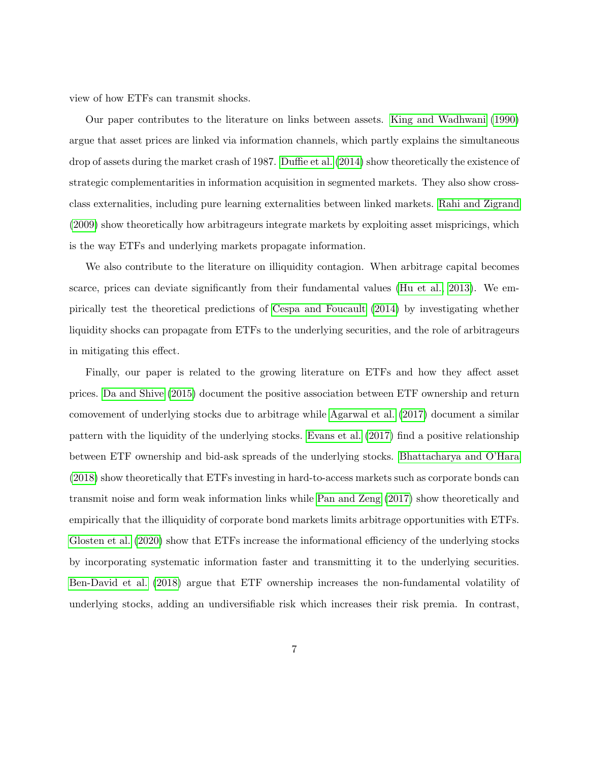view of how ETFs can transmit shocks.

Our paper contributes to the literature on links between assets. [King and Wadhwani](#page-35-0) [\(1990\)](#page-35-0) argue that asset prices are linked via information channels, which partly explains the simultaneous drop of assets during the market crash of 1987. [Duffie et al.](#page-35-6) [\(2014\)](#page-35-6) show theoretically the existence of strategic complementarities in information acquisition in segmented markets. They also show crossclass externalities, including pure learning externalities between linked markets. [Rahi and Zigrand](#page-36-2) [\(2009\)](#page-36-2) show theoretically how arbitrageurs integrate markets by exploiting asset mispricings, which is the way ETFs and underlying markets propagate information.

We also contribute to the literature on illiquidity contagion. When arbitrage capital becomes scarce, prices can deviate significantly from their fundamental values [\(Hu et al., 2013\)](#page-35-7). We empirically test the theoretical predictions of [Cespa and Foucault](#page-35-1) [\(2014\)](#page-35-1) by investigating whether liquidity shocks can propagate from ETFs to the underlying securities, and the role of arbitrageurs in mitigating this effect.

Finally, our paper is related to the growing literature on ETFs and how they affect asset prices. [Da and Shive](#page-35-3) [\(2015\)](#page-35-3) document the positive association between ETF ownership and return comovement of underlying stocks due to arbitrage while [Agarwal et al.](#page-34-4) [\(2017\)](#page-34-4) document a similar pattern with the liquidity of the underlying stocks. [Evans et al.](#page-35-8) [\(2017\)](#page-35-8) find a positive relationship between ETF ownership and bid-ask spreads of the underlying stocks. [Bhattacharya and O'Hara](#page-34-6) [\(2018\)](#page-34-6) show theoretically that ETFs investing in hard-to-access markets such as corporate bonds can transmit noise and form weak information links while [Pan and Zeng](#page-36-1) [\(2017\)](#page-36-1) show theoretically and empirically that the illiquidity of corporate bond markets limits arbitrage opportunities with ETFs. [Glosten et al.](#page-35-2) [\(2020\)](#page-35-2) show that ETFs increase the informational efficiency of the underlying stocks by incorporating systematic information faster and transmitting it to the underlying securities. [Ben-David et al.](#page-34-5) [\(2018\)](#page-34-5) argue that ETF ownership increases the non-fundamental volatility of underlying stocks, adding an undiversifiable risk which increases their risk premia. In contrast,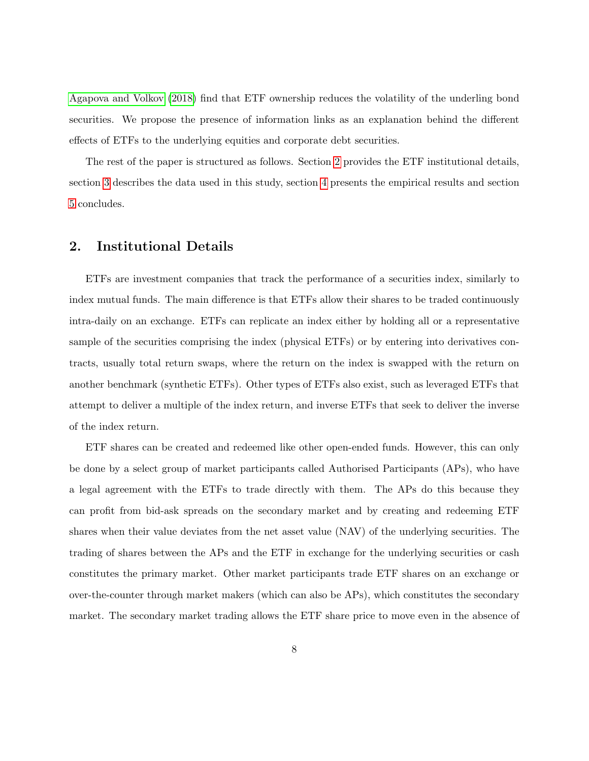[Agapova and Volkov](#page-34-7) [\(2018\)](#page-34-7) find that ETF ownership reduces the volatility of the underling bond securities. We propose the presence of information links as an explanation behind the different effects of ETFs to the underlying equities and corporate debt securities.

The rest of the paper is structured as follows. Section [2](#page-8-0) provides the ETF institutional details, section [3](#page-10-0) describes the data used in this study, section [4](#page-17-0) presents the empirical results and section [5](#page-32-0) concludes.

## <span id="page-8-0"></span>2. Institutional Details

ETFs are investment companies that track the performance of a securities index, similarly to index mutual funds. The main difference is that ETFs allow their shares to be traded continuously intra-daily on an exchange. ETFs can replicate an index either by holding all or a representative sample of the securities comprising the index (physical ETFs) or by entering into derivatives contracts, usually total return swaps, where the return on the index is swapped with the return on another benchmark (synthetic ETFs). Other types of ETFs also exist, such as leveraged ETFs that attempt to deliver a multiple of the index return, and inverse ETFs that seek to deliver the inverse of the index return.

ETF shares can be created and redeemed like other open-ended funds. However, this can only be done by a select group of market participants called Authorised Participants (APs), who have a legal agreement with the ETFs to trade directly with them. The APs do this because they can profit from bid-ask spreads on the secondary market and by creating and redeeming ETF shares when their value deviates from the net asset value (NAV) of the underlying securities. The trading of shares between the APs and the ETF in exchange for the underlying securities or cash constitutes the primary market. Other market participants trade ETF shares on an exchange or over-the-counter through market makers (which can also be APs), which constitutes the secondary market. The secondary market trading allows the ETF share price to move even in the absence of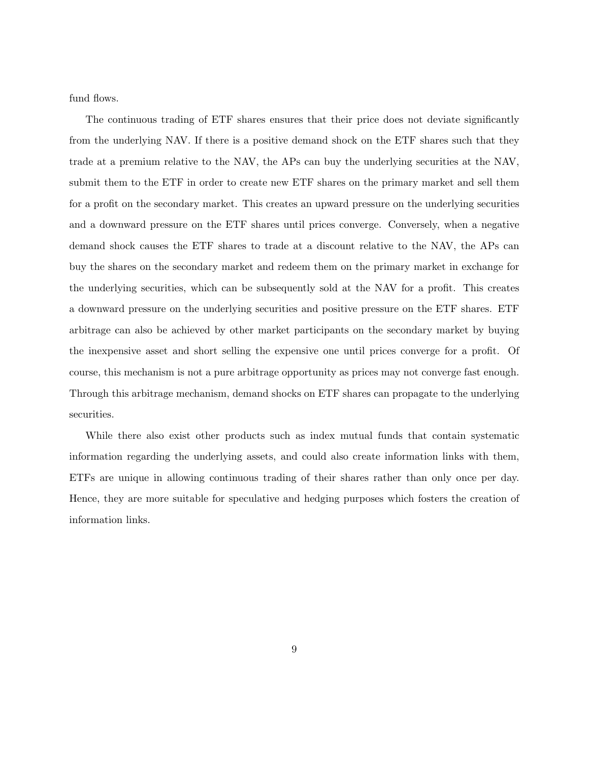fund flows.

The continuous trading of ETF shares ensures that their price does not deviate significantly from the underlying NAV. If there is a positive demand shock on the ETF shares such that they trade at a premium relative to the NAV, the APs can buy the underlying securities at the NAV, submit them to the ETF in order to create new ETF shares on the primary market and sell them for a profit on the secondary market. This creates an upward pressure on the underlying securities and a downward pressure on the ETF shares until prices converge. Conversely, when a negative demand shock causes the ETF shares to trade at a discount relative to the NAV, the APs can buy the shares on the secondary market and redeem them on the primary market in exchange for the underlying securities, which can be subsequently sold at the NAV for a profit. This creates a downward pressure on the underlying securities and positive pressure on the ETF shares. ETF arbitrage can also be achieved by other market participants on the secondary market by buying the inexpensive asset and short selling the expensive one until prices converge for a profit. Of course, this mechanism is not a pure arbitrage opportunity as prices may not converge fast enough. Through this arbitrage mechanism, demand shocks on ETF shares can propagate to the underlying securities.

While there also exist other products such as index mutual funds that contain systematic information regarding the underlying assets, and could also create information links with them, ETFs are unique in allowing continuous trading of their shares rather than only once per day. Hence, they are more suitable for speculative and hedging purposes which fosters the creation of information links.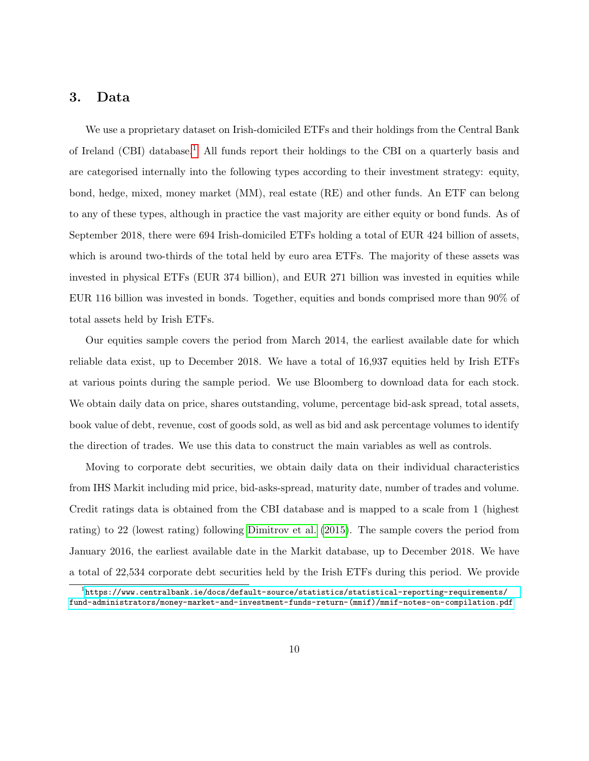## <span id="page-10-0"></span>3. Data

We use a proprietary dataset on Irish-domiciled ETFs and their holdings from the Central Bank of Ireland (CBI) database.<sup>[1](#page-10-1)</sup> All funds report their holdings to the CBI on a quarterly basis and are categorised internally into the following types according to their investment strategy: equity, bond, hedge, mixed, money market (MM), real estate (RE) and other funds. An ETF can belong to any of these types, although in practice the vast majority are either equity or bond funds. As of September 2018, there were 694 Irish-domiciled ETFs holding a total of EUR 424 billion of assets, which is around two-thirds of the total held by euro area ETFs. The majority of these assets was invested in physical ETFs (EUR 374 billion), and EUR 271 billion was invested in equities while EUR 116 billion was invested in bonds. Together, equities and bonds comprised more than 90% of total assets held by Irish ETFs.

Our equities sample covers the period from March 2014, the earliest available date for which reliable data exist, up to December 2018. We have a total of 16,937 equities held by Irish ETFs at various points during the sample period. We use Bloomberg to download data for each stock. We obtain daily data on price, shares outstanding, volume, percentage bid-ask spread, total assets, book value of debt, revenue, cost of goods sold, as well as bid and ask percentage volumes to identify the direction of trades. We use this data to construct the main variables as well as controls.

Moving to corporate debt securities, we obtain daily data on their individual characteristics from IHS Markit including mid price, bid-asks-spread, maturity date, number of trades and volume. Credit ratings data is obtained from the CBI database and is mapped to a scale from 1 (highest rating) to 22 (lowest rating) following [Dimitrov et al.](#page-35-9) [\(2015\)](#page-35-9). The sample covers the period from January 2016, the earliest available date in the Markit database, up to December 2018. We have a total of 22,534 corporate debt securities held by the Irish ETFs during this period. We provide

<span id="page-10-1"></span> $^{\rm 1}$ [https://www.centralbank.ie/docs/default-source/statistics/statistical-reporting-requirements/](https://www.centralbank.ie/docs/default-source/statistics/statistical-reporting-requirements/fund-administrators/money-market-and-investment-funds-return-(mmif)/mmif-notes-on-compilation.pdf) [fund-administrators/money-market-and-investment-funds-return-\(mmif\)/mmif-notes-on-compilation.pdf](https://www.centralbank.ie/docs/default-source/statistics/statistical-reporting-requirements/fund-administrators/money-market-and-investment-funds-return-(mmif)/mmif-notes-on-compilation.pdf)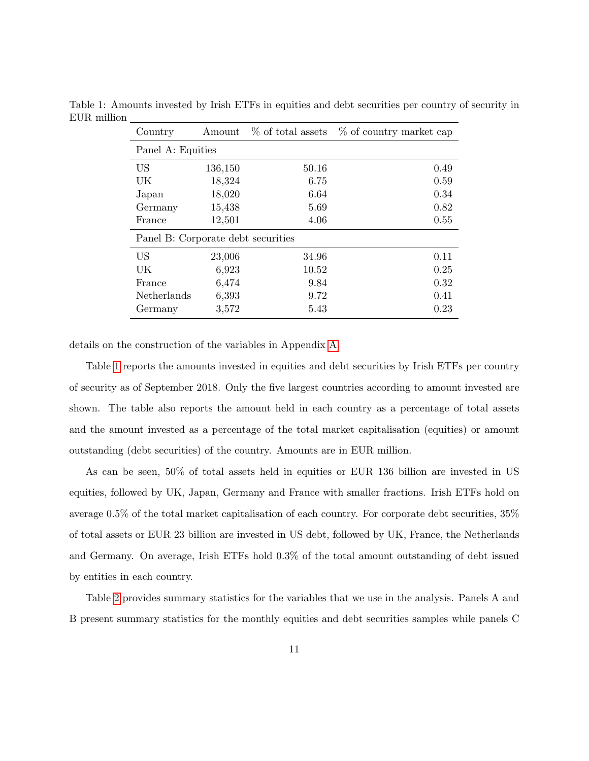<span id="page-11-0"></span>

| Country                            | Amount  |       | $\%$ of total assets $\%$ of country market cap |
|------------------------------------|---------|-------|-------------------------------------------------|
| Panel A: Equities                  |         |       |                                                 |
| US                                 | 136,150 | 50.16 | 0.49                                            |
| UK                                 | 18,324  | 6.75  | 0.59                                            |
| Japan                              | 18,020  | 6.64  | 0.34                                            |
| Germany                            | 15,438  | 5.69  | 0.82                                            |
| France                             | 12,501  | 4.06  | 0.55                                            |
| Panel B: Corporate debt securities |         |       |                                                 |
| US                                 | 23,006  | 34.96 | 0.11                                            |
| UK                                 | 6,923   | 10.52 | 0.25                                            |
| France                             | 6,474   | 9.84  | 0.32                                            |
| Netherlands                        | 6,393   | 9.72  | 0.41                                            |
| Germany                            | 3,572   | 5.43  | 0.23                                            |

Table 1: Amounts invested by Irish ETFs in equities and debt securities per country of security in EUR million

details on the construction of the variables in Appendix [A.](#page-37-0)

Table [1](#page-11-0) reports the amounts invested in equities and debt securities by Irish ETFs per country of security as of September 2018. Only the five largest countries according to amount invested are shown. The table also reports the amount held in each country as a percentage of total assets and the amount invested as a percentage of the total market capitalisation (equities) or amount outstanding (debt securities) of the country. Amounts are in EUR million.

As can be seen, 50% of total assets held in equities or EUR 136 billion are invested in US equities, followed by UK, Japan, Germany and France with smaller fractions. Irish ETFs hold on average 0.5% of the total market capitalisation of each country. For corporate debt securities, 35% of total assets or EUR 23 billion are invested in US debt, followed by UK, France, the Netherlands and Germany. On average, Irish ETFs hold 0.3% of the total amount outstanding of debt issued by entities in each country.

Table [2](#page-13-0) provides summary statistics for the variables that we use in the analysis. Panels A and B present summary statistics for the monthly equities and debt securities samples while panels C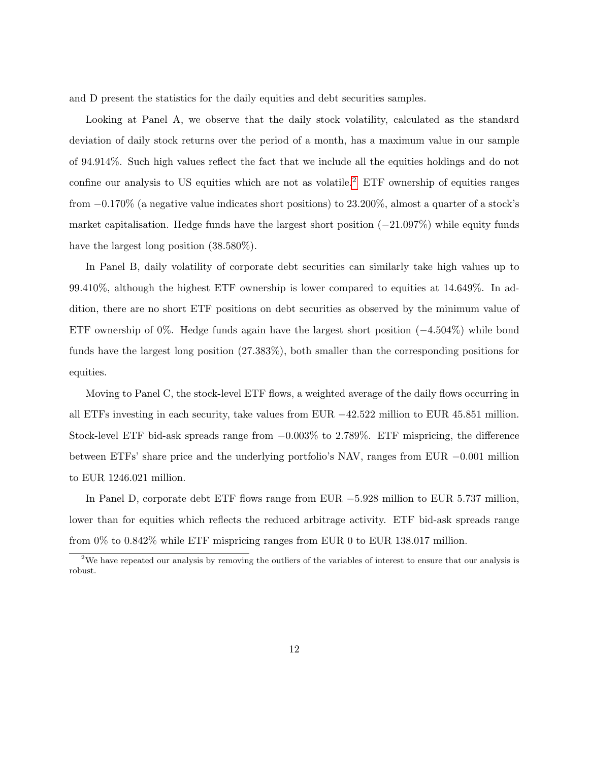and D present the statistics for the daily equities and debt securities samples.

Looking at Panel A, we observe that the daily stock volatility, calculated as the standard deviation of daily stock returns over the period of a month, has a maximum value in our sample of 94.914%. Such high values reflect the fact that we include all the equities holdings and do not confine our analysis to US equities which are not as volatile.<sup>[2](#page-12-0)</sup> ETF ownership of equities ranges from −0.170% (a negative value indicates short positions) to 23.200%, almost a quarter of a stock's market capitalisation. Hedge funds have the largest short position  $(-21.097\%)$  while equity funds have the largest long position  $(38.580\%).$ 

In Panel B, daily volatility of corporate debt securities can similarly take high values up to 99.410%, although the highest ETF ownership is lower compared to equities at 14.649%. In addition, there are no short ETF positions on debt securities as observed by the minimum value of ETF ownership of 0%. Hedge funds again have the largest short position (−4.504%) while bond funds have the largest long position (27.383%), both smaller than the corresponding positions for equities.

Moving to Panel C, the stock-level ETF flows, a weighted average of the daily flows occurring in all ETFs investing in each security, take values from EUR  $-42.522$  million to EUR 45.851 million. Stock-level ETF bid-ask spreads range from −0.003% to 2.789%. ETF mispricing, the difference between ETFs' share price and the underlying portfolio's NAV, ranges from EUR −0.001 million to EUR 1246.021 million.

In Panel D, corporate debt ETF flows range from EUR −5.928 million to EUR 5.737 million, lower than for equities which reflects the reduced arbitrage activity. ETF bid-ask spreads range from 0% to 0.842% while ETF mispricing ranges from EUR 0 to EUR 138.017 million.

<span id="page-12-0"></span><sup>&</sup>lt;sup>2</sup>We have repeated our analysis by removing the outliers of the variables of interest to ensure that our analysis is robust.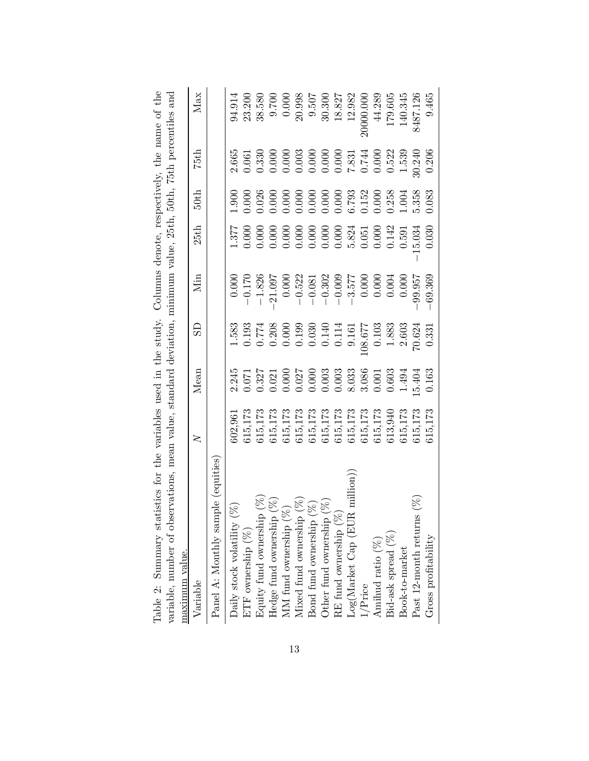<span id="page-13-0"></span>

| $\geq$  | Mean                                                                                                                                                                        | œ                                                                                                                                                                                                       | Min                                                                                                                                                                                                                                                                                                          | 25th                                                                                                                                                                                  | 50th                                                                                                                                                                                                                                                                         | 75th                                                                                                                                                                                                                                                                                    | Max                                                                                                                                                                                                                                                                                                      |
|---------|-----------------------------------------------------------------------------------------------------------------------------------------------------------------------------|---------------------------------------------------------------------------------------------------------------------------------------------------------------------------------------------------------|--------------------------------------------------------------------------------------------------------------------------------------------------------------------------------------------------------------------------------------------------------------------------------------------------------------|---------------------------------------------------------------------------------------------------------------------------------------------------------------------------------------|------------------------------------------------------------------------------------------------------------------------------------------------------------------------------------------------------------------------------------------------------------------------------|-----------------------------------------------------------------------------------------------------------------------------------------------------------------------------------------------------------------------------------------------------------------------------------------|----------------------------------------------------------------------------------------------------------------------------------------------------------------------------------------------------------------------------------------------------------------------------------------------------------|
|         |                                                                                                                                                                             |                                                                                                                                                                                                         |                                                                                                                                                                                                                                                                                                              |                                                                                                                                                                                       |                                                                                                                                                                                                                                                                              |                                                                                                                                                                                                                                                                                         |                                                                                                                                                                                                                                                                                                          |
|         |                                                                                                                                                                             |                                                                                                                                                                                                         |                                                                                                                                                                                                                                                                                                              |                                                                                                                                                                                       |                                                                                                                                                                                                                                                                              |                                                                                                                                                                                                                                                                                         |                                                                                                                                                                                                                                                                                                          |
|         |                                                                                                                                                                             |                                                                                                                                                                                                         |                                                                                                                                                                                                                                                                                                              |                                                                                                                                                                                       |                                                                                                                                                                                                                                                                              |                                                                                                                                                                                                                                                                                         | $\frac{94.914}{23.200}$                                                                                                                                                                                                                                                                                  |
|         |                                                                                                                                                                             |                                                                                                                                                                                                         |                                                                                                                                                                                                                                                                                                              |                                                                                                                                                                                       |                                                                                                                                                                                                                                                                              |                                                                                                                                                                                                                                                                                         |                                                                                                                                                                                                                                                                                                          |
| 615,173 |                                                                                                                                                                             |                                                                                                                                                                                                         |                                                                                                                                                                                                                                                                                                              |                                                                                                                                                                                       |                                                                                                                                                                                                                                                                              |                                                                                                                                                                                                                                                                                         | 0.700                                                                                                                                                                                                                                                                                                    |
| 615,173 |                                                                                                                                                                             |                                                                                                                                                                                                         |                                                                                                                                                                                                                                                                                                              |                                                                                                                                                                                       |                                                                                                                                                                                                                                                                              |                                                                                                                                                                                                                                                                                         | 0.000                                                                                                                                                                                                                                                                                                    |
|         |                                                                                                                                                                             |                                                                                                                                                                                                         |                                                                                                                                                                                                                                                                                                              |                                                                                                                                                                                       |                                                                                                                                                                                                                                                                              |                                                                                                                                                                                                                                                                                         | 20.998                                                                                                                                                                                                                                                                                                   |
|         |                                                                                                                                                                             |                                                                                                                                                                                                         |                                                                                                                                                                                                                                                                                                              |                                                                                                                                                                                       |                                                                                                                                                                                                                                                                              |                                                                                                                                                                                                                                                                                         | 9.507                                                                                                                                                                                                                                                                                                    |
|         |                                                                                                                                                                             |                                                                                                                                                                                                         |                                                                                                                                                                                                                                                                                                              |                                                                                                                                                                                       |                                                                                                                                                                                                                                                                              |                                                                                                                                                                                                                                                                                         | 30.300                                                                                                                                                                                                                                                                                                   |
|         |                                                                                                                                                                             |                                                                                                                                                                                                         |                                                                                                                                                                                                                                                                                                              |                                                                                                                                                                                       |                                                                                                                                                                                                                                                                              |                                                                                                                                                                                                                                                                                         | 18.827                                                                                                                                                                                                                                                                                                   |
|         |                                                                                                                                                                             |                                                                                                                                                                                                         |                                                                                                                                                                                                                                                                                                              |                                                                                                                                                                                       |                                                                                                                                                                                                                                                                              |                                                                                                                                                                                                                                                                                         | 12.982                                                                                                                                                                                                                                                                                                   |
|         |                                                                                                                                                                             |                                                                                                                                                                                                         |                                                                                                                                                                                                                                                                                                              |                                                                                                                                                                                       |                                                                                                                                                                                                                                                                              |                                                                                                                                                                                                                                                                                         | 200000.000                                                                                                                                                                                                                                                                                               |
|         |                                                                                                                                                                             |                                                                                                                                                                                                         |                                                                                                                                                                                                                                                                                                              |                                                                                                                                                                                       |                                                                                                                                                                                                                                                                              |                                                                                                                                                                                                                                                                                         | 44.289                                                                                                                                                                                                                                                                                                   |
| 613,940 |                                                                                                                                                                             |                                                                                                                                                                                                         |                                                                                                                                                                                                                                                                                                              |                                                                                                                                                                                       |                                                                                                                                                                                                                                                                              |                                                                                                                                                                                                                                                                                         | 179.605                                                                                                                                                                                                                                                                                                  |
| 615,173 |                                                                                                                                                                             |                                                                                                                                                                                                         |                                                                                                                                                                                                                                                                                                              |                                                                                                                                                                                       |                                                                                                                                                                                                                                                                              |                                                                                                                                                                                                                                                                                         | 140.345                                                                                                                                                                                                                                                                                                  |
|         |                                                                                                                                                                             | 70.624                                                                                                                                                                                                  | 99.957                                                                                                                                                                                                                                                                                                       | 15.034                                                                                                                                                                                |                                                                                                                                                                                                                                                                              | 30.240                                                                                                                                                                                                                                                                                  | 8487.126                                                                                                                                                                                                                                                                                                 |
|         |                                                                                                                                                                             |                                                                                                                                                                                                         | 69.369                                                                                                                                                                                                                                                                                                       |                                                                                                                                                                                       |                                                                                                                                                                                                                                                                              |                                                                                                                                                                                                                                                                                         | 9.465                                                                                                                                                                                                                                                                                                    |
|         | $\begin{array}{c} 615,173 \\ 615,173 \\ 615,173 \end{array}$<br>615,173<br>615,173<br>$615,173$<br>$615,173$<br>$615,173$<br>$615,173$<br>$615,173$<br>$615,173$<br>602,961 | $\begin{array}{l} 0.071 \\ 0.327 \\ 0.021 \\ 0.000 \\ 0.000 \\ 0.000 \\ 0.000 \\ 0.003 \\ 0.003 \\ 0.003 \\ 0.003 \\ 0.001 \\ 0.001 \\ \end{array}$<br>2.245<br>$.5.404$<br>$0.163$<br>$0.603$<br>1.494 | $\begin{array}{r} 1.583 \\ 0.193 \\ 0.774 \\ 0.208 \\ 0.000 \\ 0.193 \\ 0.000 \\ 0.193 \\ 0.030 \\ 0.141 \\ 0.114 \\ 0.161 \\ 0.033 \\ 0.033 \\ 0.033 \\ 0.033 \\ 0.033 \\ 0.033 \\ 0.033 \\ 0.033 \\ 0.033 \\ 0.033 \\ 0.033 \\ 0.033 \\ 0.033 \\ 0.033 \\ 0.033 \\ 0.033 \\ 0.033 \\ 0.033 \\ 0.$<br>0.331 | $\begin{array}{r} 21.097 \\ 0.000 \\ -0.522 \\ -0.303 \\ -0.302 \\ -0.302 \\ -3.577 \\ -3.577 \\ -3.577 \\ 0.000 \\ 0.000 \\ \end{array}$<br>$-0.000$<br>$-1.70$<br>$-1.826$<br>0.000 | $\begin{array}{l} 1.377\\ 1.0000\\ 0.0000\\ 0.0000\\ 0.0000\\ 0.0000\\ 0.0000\\ 0.0000\\ 0.0000\\ 0.0000\\ 0.0000\\ 0.0000\\ 0.142\\ 0.000\\ 0.000\\ 0.000\\ 0.000\\ 0.000\\ 0.000\\ 0.000\\ 0.000\\ 0.000\\ 0.000\\ 0.000\\ 0.000\\ 0.000\\ 0.000\\ 0.000\\ 0.000$<br>0.030 | 5.358<br>0.083<br>$\begin{array}{l} 1.900\\ 0.000\\ 0.000\\ 0.000\\ 0.000\\ 0.000\\ 0.000\\ 0.000\\ 0.000\\ 0.000\\ 0.000\\ 0.000\\ 0.000\\ 0.000\\ 0.000\\ 0.000\\ 0.004\\ 1.004\\ 1.004\\ 1.004\\ 1.004\\ 1.004\\ 1.004\\ 1.004\\ 1.004\\ 1.004\\ 1.004\\ 1.004\\ 1.004\\ 1.004\\ 1.$ | ariable, number of observations, mean value, standard deviation, minimum value, 25th, 50th, 75th percentiles and<br>2.665<br>$\begin{array}{l} 0.061\\ 0.330\\ 0.000\\ 0.000\\ 0.000\\ 0.000\\ 0.000\\ 0.000\\ 0.000\\ 0.000\\ 0.000\\ 0.000\\ 0.000\\ 0.000\\ \end{array}$<br>$0.522$<br>1.539<br>0.206 |

|  |  |  |  |  | atistics for the variables used in the study. Columns denote, respectively, the name of the |  |
|--|--|--|--|--|---------------------------------------------------------------------------------------------|--|
|  |  |  |  |  | servations, mean value, standard deviation, minimum value, 25th, 50th, 75th percentiles and |  |
|  |  |  |  |  |                                                                                             |  |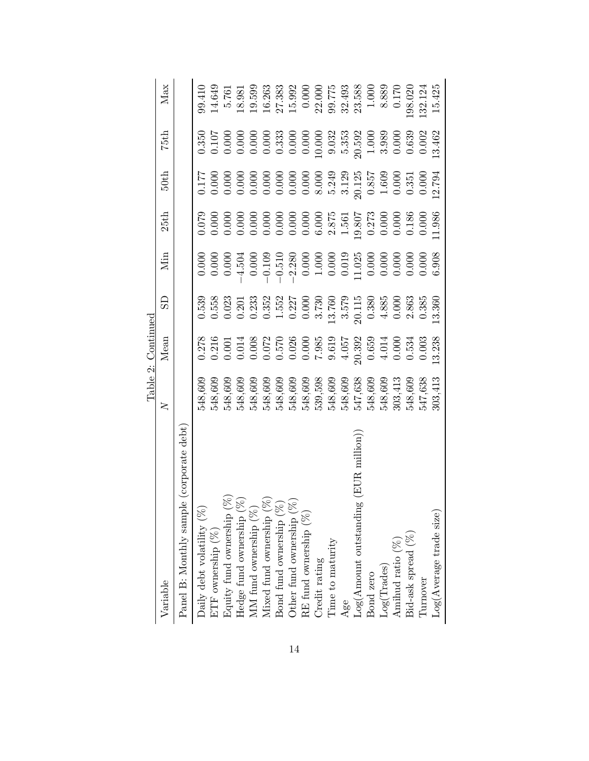|                                                                                                                                                                                                                   |                                                                                                                                                                                                                                                                                             | Table 2: Continued                                                                                                                                                                                                                                                                                  |    |     |                                                                                                                                                                                                                                                             |                                                                                                                                                                                                                                                                                                     |                                                                                                                                                                                                                                                                                                     |                                                                                                                                                                                                                                                                      |
|-------------------------------------------------------------------------------------------------------------------------------------------------------------------------------------------------------------------|---------------------------------------------------------------------------------------------------------------------------------------------------------------------------------------------------------------------------------------------------------------------------------------------|-----------------------------------------------------------------------------------------------------------------------------------------------------------------------------------------------------------------------------------------------------------------------------------------------------|----|-----|-------------------------------------------------------------------------------------------------------------------------------------------------------------------------------------------------------------------------------------------------------------|-----------------------------------------------------------------------------------------------------------------------------------------------------------------------------------------------------------------------------------------------------------------------------------------------------|-----------------------------------------------------------------------------------------------------------------------------------------------------------------------------------------------------------------------------------------------------------------------------------------------------|----------------------------------------------------------------------------------------------------------------------------------------------------------------------------------------------------------------------------------------------------------------------|
| Variable                                                                                                                                                                                                          | $\geq$                                                                                                                                                                                                                                                                                      | Mean                                                                                                                                                                                                                                                                                                | සි | Щ'n | 25th                                                                                                                                                                                                                                                        | 50th                                                                                                                                                                                                                                                                                                | 75th                                                                                                                                                                                                                                                                                                | Max                                                                                                                                                                                                                                                                  |
| Panel B: Monthly sample (corporate debt)                                                                                                                                                                          |                                                                                                                                                                                                                                                                                             |                                                                                                                                                                                                                                                                                                     |    |     |                                                                                                                                                                                                                                                             |                                                                                                                                                                                                                                                                                                     |                                                                                                                                                                                                                                                                                                     |                                                                                                                                                                                                                                                                      |
| Daily debt volatility $(\%$                                                                                                                                                                                       | 548,609                                                                                                                                                                                                                                                                                     |                                                                                                                                                                                                                                                                                                     |    |     |                                                                                                                                                                                                                                                             |                                                                                                                                                                                                                                                                                                     |                                                                                                                                                                                                                                                                                                     | 99.410                                                                                                                                                                                                                                                               |
| ETF ownership $(\%)$                                                                                                                                                                                              |                                                                                                                                                                                                                                                                                             |                                                                                                                                                                                                                                                                                                     |    |     |                                                                                                                                                                                                                                                             |                                                                                                                                                                                                                                                                                                     |                                                                                                                                                                                                                                                                                                     |                                                                                                                                                                                                                                                                      |
| Equity fund ownership $(\%)$<br>Hedge fund ownership $(\%)$<br>MM fund ownership $(\%)$<br>Mixed fund ownership $(\%)$<br>Bond fund ownership $(\%)$<br>Bond fund ownership $(\%)$<br>Other fund ownership $(\%)$ | 548,609<br>548,609<br>548,609                                                                                                                                                                                                                                                               | $\begin{array}{l} 0.278 \\ 0.011 \\ 0.001 \\ 0.000 \\ 0.000 \\ 0.000 \\ 0.000 \\ 0.000 \\ 0.000 \\ 0.000 \\ 0.000 \\ 0.000 \\ 0.000 \\ 0.000 \\ 0.000 \\ 0.000 \\ 0.000 \\ 0.000 \\ 0.000 \\ 0.000 \\ 0.000 \\ 0.003 \\ 0.003 \\ 0.003 \\ 0.003 \\ 0.003 \\ 0.003 \\ 0.003 \\ 0.003 \\ 0.003 \\ 0.$ |    |     | $\begin{array}{l} 0.070 \\ 0.0000 \\ 0.0000 \\ 0.0000 \\ 0.0000 \\ 0.0000 \\ 0.0000 \\ 0.0000 \\ 0.0000 \\ 0.0000 \\ 0.0000 \\ 0.0000 \\ 0.0000 \\ 0.0000 \\ 0.0000 \\ 0.0000 \\ 0.0000 \\ 0.0000 \\ 0.0000 \\ 0.1000 \\ 0.0000 \\ 0.11.986 \\ \end{array}$ | $\begin{array}{l} 1.77 \\ 0.000 \\ 0.000 \\ 0.000 \\ 0.000 \\ 0.000 \\ 0.000 \\ 0.000 \\ 0.000 \\ 0.000 \\ 0.000 \\ 0.000 \\ 0.000 \\ 0.000 \\ 0.000 \\ 0.000 \\ 0.000 \\ 0.000 \\ 0.000 \\ 0.000 \\ 0.000 \\ 0.000 \\ 0.000 \\ 0.000 \\ 0.000 \\ 0.000 \\ 0.000 \\ 0.000 \\ 0.000 \\ 0.000 \\ 0.0$ | $\begin{array}{l} 350 \\ 0.107 \\ 0.000 \\ 0.000 \\ 0.000 \\ 0.000 \\ 0.000 \\ 0.000 \\ 0.000 \\ 0.000 \\ 0.000 \\ 0.000 \\ 0.000 \\ 0.000 \\ 0.000 \\ 0.000 \\ 0.000 \\ 0.000 \\ 0.000 \\ 0.000 \\ 0.000 \\ 0.000 \\ 0.000 \\ 0.000 \\ 0.000 \\ 0.000 \\ 0.000 \\ 0.000 \\ 0.000 \\ 0.000 \\ 0.00$ | $\begin{array}{l} 14.649\\ 5.761\\ 5.981\\ 19.599\\ 21.383\\ 21.383\\ 22.000\\ 0.000\\ 0.000\\ 0.000\\ 0.000\\ 0.000\\ 0.000\\ 0.000\\ 0.000\\ 0.000\\ 0.000\\ 0.000\\ 0.000\\ 0.000\\ 0.000\\ 0.000\\ 0.000\\ 0.000\\ 0.000\\ 0.000\\ 0.000\\ 0.000\\ 0.000\\ 0.00$ |
|                                                                                                                                                                                                                   |                                                                                                                                                                                                                                                                                             |                                                                                                                                                                                                                                                                                                     |    |     |                                                                                                                                                                                                                                                             |                                                                                                                                                                                                                                                                                                     |                                                                                                                                                                                                                                                                                                     |                                                                                                                                                                                                                                                                      |
|                                                                                                                                                                                                                   |                                                                                                                                                                                                                                                                                             |                                                                                                                                                                                                                                                                                                     |    |     |                                                                                                                                                                                                                                                             |                                                                                                                                                                                                                                                                                                     |                                                                                                                                                                                                                                                                                                     |                                                                                                                                                                                                                                                                      |
|                                                                                                                                                                                                                   |                                                                                                                                                                                                                                                                                             |                                                                                                                                                                                                                                                                                                     |    |     |                                                                                                                                                                                                                                                             |                                                                                                                                                                                                                                                                                                     |                                                                                                                                                                                                                                                                                                     |                                                                                                                                                                                                                                                                      |
|                                                                                                                                                                                                                   |                                                                                                                                                                                                                                                                                             |                                                                                                                                                                                                                                                                                                     |    |     |                                                                                                                                                                                                                                                             |                                                                                                                                                                                                                                                                                                     |                                                                                                                                                                                                                                                                                                     |                                                                                                                                                                                                                                                                      |
|                                                                                                                                                                                                                   |                                                                                                                                                                                                                                                                                             |                                                                                                                                                                                                                                                                                                     |    |     |                                                                                                                                                                                                                                                             |                                                                                                                                                                                                                                                                                                     |                                                                                                                                                                                                                                                                                                     |                                                                                                                                                                                                                                                                      |
| RE fund ownership $(\%)$                                                                                                                                                                                          |                                                                                                                                                                                                                                                                                             |                                                                                                                                                                                                                                                                                                     |    |     |                                                                                                                                                                                                                                                             |                                                                                                                                                                                                                                                                                                     |                                                                                                                                                                                                                                                                                                     |                                                                                                                                                                                                                                                                      |
| Credit rating                                                                                                                                                                                                     | $\begin{array}{l} 548,609 \\ 548,609 \\ 548,609 \\ 548,609 \\ 548,609 \\ 548,609 \\ 548,609 \\ 548,609 \\ 548,609 \\ 548,609 \\ 548,609 \\ 548,609 \\ 548,609 \\ 548,609 \\ 548,609 \\ 548,609 \\ 547,638 \\ 548,609 \\ 547,638 \\ 549,413 \\ 303,413 \\ 303,413 \\ 303,413 \\ \end{array}$ |                                                                                                                                                                                                                                                                                                     |    |     |                                                                                                                                                                                                                                                             |                                                                                                                                                                                                                                                                                                     |                                                                                                                                                                                                                                                                                                     |                                                                                                                                                                                                                                                                      |
| Time to maturity                                                                                                                                                                                                  |                                                                                                                                                                                                                                                                                             |                                                                                                                                                                                                                                                                                                     |    |     |                                                                                                                                                                                                                                                             |                                                                                                                                                                                                                                                                                                     |                                                                                                                                                                                                                                                                                                     |                                                                                                                                                                                                                                                                      |
| Age                                                                                                                                                                                                               |                                                                                                                                                                                                                                                                                             |                                                                                                                                                                                                                                                                                                     |    |     |                                                                                                                                                                                                                                                             |                                                                                                                                                                                                                                                                                                     |                                                                                                                                                                                                                                                                                                     |                                                                                                                                                                                                                                                                      |
| (EUR million)<br>ēΰ<br>Log(Amount outstandin                                                                                                                                                                      |                                                                                                                                                                                                                                                                                             |                                                                                                                                                                                                                                                                                                     |    |     |                                                                                                                                                                                                                                                             |                                                                                                                                                                                                                                                                                                     |                                                                                                                                                                                                                                                                                                     |                                                                                                                                                                                                                                                                      |
| Bond zero                                                                                                                                                                                                         |                                                                                                                                                                                                                                                                                             |                                                                                                                                                                                                                                                                                                     |    |     |                                                                                                                                                                                                                                                             |                                                                                                                                                                                                                                                                                                     |                                                                                                                                                                                                                                                                                                     |                                                                                                                                                                                                                                                                      |
| Log(Trades)                                                                                                                                                                                                       |                                                                                                                                                                                                                                                                                             |                                                                                                                                                                                                                                                                                                     |    |     |                                                                                                                                                                                                                                                             |                                                                                                                                                                                                                                                                                                     |                                                                                                                                                                                                                                                                                                     |                                                                                                                                                                                                                                                                      |
| Amihud ratio $(\%)$                                                                                                                                                                                               |                                                                                                                                                                                                                                                                                             |                                                                                                                                                                                                                                                                                                     |    |     |                                                                                                                                                                                                                                                             |                                                                                                                                                                                                                                                                                                     |                                                                                                                                                                                                                                                                                                     |                                                                                                                                                                                                                                                                      |
| Bid-ask spread (%)                                                                                                                                                                                                |                                                                                                                                                                                                                                                                                             |                                                                                                                                                                                                                                                                                                     |    |     |                                                                                                                                                                                                                                                             |                                                                                                                                                                                                                                                                                                     |                                                                                                                                                                                                                                                                                                     | 198.020<br>132.124<br>15.425                                                                                                                                                                                                                                         |
| Turnover                                                                                                                                                                                                          |                                                                                                                                                                                                                                                                                             |                                                                                                                                                                                                                                                                                                     |    |     |                                                                                                                                                                                                                                                             |                                                                                                                                                                                                                                                                                                     |                                                                                                                                                                                                                                                                                                     |                                                                                                                                                                                                                                                                      |
| Log(Average trade size)                                                                                                                                                                                           |                                                                                                                                                                                                                                                                                             |                                                                                                                                                                                                                                                                                                     |    |     |                                                                                                                                                                                                                                                             |                                                                                                                                                                                                                                                                                                     |                                                                                                                                                                                                                                                                                                     |                                                                                                                                                                                                                                                                      |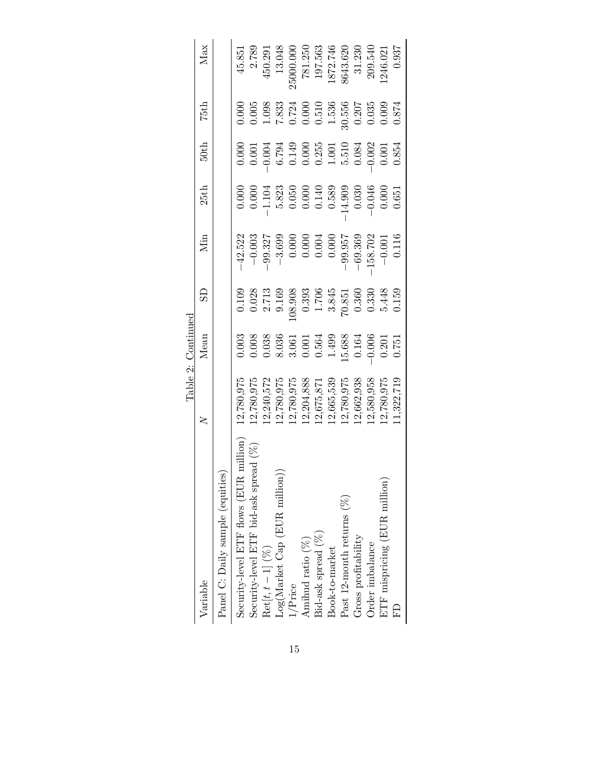|                                                    |            | Table 2: Continued |                                                                  |           |                                                     |                                                                                                               |                                                                  |          |
|----------------------------------------------------|------------|--------------------|------------------------------------------------------------------|-----------|-----------------------------------------------------|---------------------------------------------------------------------------------------------------------------|------------------------------------------------------------------|----------|
| Variable                                           | 2          | Mean               | £                                                                | Min       | 25th                                                | 50th                                                                                                          | 75th                                                             | Max      |
| Panel C: Daily sample (equities)                   |            |                    |                                                                  |           |                                                     |                                                                                                               |                                                                  |          |
| million<br>Security-level ETF flows (EUR r         | 12,780,975 | 0.003              | 0.109                                                            | $-42.522$ |                                                     | 0.000                                                                                                         | 0.000                                                            | 45.851   |
| <u>त्र (%)</u><br>Security-level ETF bid-ask sprea | 2,780,975  | 0.008              | $\frac{0.028}{2.713}$                                            | $-0.003$  | $0.000$<br>$0.000$                                  | $\begin{array}{c} 0.001 \\ -0.004 \\ 6.794 \\ 0.149 \\ 0.000 \\ 0.255 \\ 1.001 \\ 5.510 \\ 0.084 \end{array}$ | 0.005                                                            | 2.789    |
| $\mathrm{Ret}[t, t-1]~(\%)$                        | 12,240,572 | 0.038              |                                                                  | $-99.327$ | $-1.104$                                            |                                                                                                               | 1.098                                                            | 450.291  |
| Log(Marker Cap (EUR million))                      | 2,780,975  |                    |                                                                  | $-3.699$  |                                                     |                                                                                                               | $7.833$<br>0.724                                                 | 13.048   |
| l/Price                                            | 2,780,975  | $8.036$<br>$3.061$ | 08.908                                                           | 0.000     |                                                     |                                                                                                               |                                                                  | 5000.000 |
| Amihud ratio (%)                                   | 12,204,888 | 0.001              | $\begin{array}{c} 0.393 \\ 1.706 \\ 3.845 \\ 70.851 \end{array}$ | 0.000     | $5.823$<br>$0.050$<br>$0.050$<br>$0.140$<br>$0.589$ |                                                                                                               | $\begin{array}{c} 0.000 \\ 0.510 \\ 1.536 \\ 30.556 \end{array}$ | 781.250  |
| Bid-ask spread (%)                                 | 12,675,871 | 0.564              |                                                                  | 0.004     |                                                     |                                                                                                               |                                                                  | 197.563  |
| Book-to-market                                     | 12,665,539 | 1.499              |                                                                  | 0.000     |                                                     |                                                                                                               |                                                                  | 1872.746 |
| Past 12-month returns $(\%)$                       | 12,780,975 | 15.688             |                                                                  | $-99.957$ | 14.909                                              |                                                                                                               |                                                                  | 8643.620 |
| Gross profitability                                | 12,662,938 | 0.164              | 0.360                                                            | $-69.369$ | 0.030                                               |                                                                                                               | 0.207                                                            | 31.230   |
| Order imbalance                                    | 2,580,958  | $-0.006$           | 0.330                                                            | 158.702   | $-0.046$                                            | $-0.002$<br>0.001                                                                                             | 0.035                                                            | 209.540  |
| ETF mispricing (EUR million)                       | 12,780,975 | 0.201              | 5.448                                                            | $-0.001$  | 0.000                                               |                                                                                                               | 0.009                                                            | .246.021 |
| 口                                                  | 1,322,719  | 0.751              | 0.159                                                            | 0.116     | 0.651                                               | 0.854                                                                                                         | 0.874                                                            | 0.937    |
|                                                    |            |                    |                                                                  |           |                                                     |                                                                                                               |                                                                  |          |

15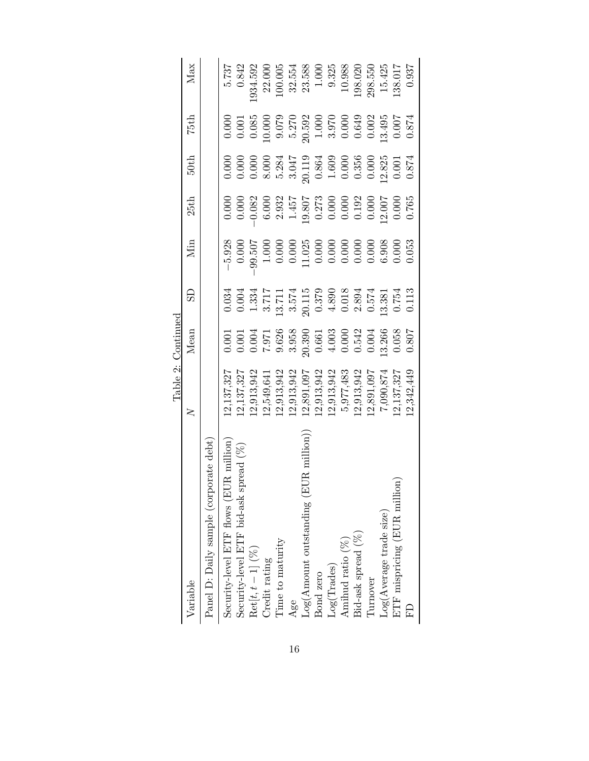|                                        |               | Table 2: Continued                                                                                                                         |                                                                                                                                                                                                                                                                                                                                               |                                                                                                                                                                                                                                                                                                     |                                                                                                                                                                                                                                                                       |                                                                                                                                                                                                                                                                       |                                                                                                           |                    |
|----------------------------------------|---------------|--------------------------------------------------------------------------------------------------------------------------------------------|-----------------------------------------------------------------------------------------------------------------------------------------------------------------------------------------------------------------------------------------------------------------------------------------------------------------------------------------------|-----------------------------------------------------------------------------------------------------------------------------------------------------------------------------------------------------------------------------------------------------------------------------------------------------|-----------------------------------------------------------------------------------------------------------------------------------------------------------------------------------------------------------------------------------------------------------------------|-----------------------------------------------------------------------------------------------------------------------------------------------------------------------------------------------------------------------------------------------------------------------|-----------------------------------------------------------------------------------------------------------|--------------------|
| Variable                               | $\geq$        | Mean                                                                                                                                       | සි                                                                                                                                                                                                                                                                                                                                            | Мin                                                                                                                                                                                                                                                                                                 | 25 <sub>th</sub>                                                                                                                                                                                                                                                      | 50th                                                                                                                                                                                                                                                                  | 75th                                                                                                      | Max                |
| Panel D: Daily sample (corporate debt) |               |                                                                                                                                            |                                                                                                                                                                                                                                                                                                                                               |                                                                                                                                                                                                                                                                                                     |                                                                                                                                                                                                                                                                       |                                                                                                                                                                                                                                                                       |                                                                                                           |                    |
| Security-level ETF flows (EUR million) | 12,137,327    |                                                                                                                                            |                                                                                                                                                                                                                                                                                                                                               | $-5.928$<br>0.000                                                                                                                                                                                                                                                                                   |                                                                                                                                                                                                                                                                       |                                                                                                                                                                                                                                                                       |                                                                                                           | 5.737              |
| Security-level ETF bid-ask spread (%)  | 2,137,327     | $\begin{array}{c} 0.001 \\ 0.001 \\ 0.004 \\ 7.971 \\ 9.628 \\ 9.959 \\ 0.631 \\ 0.003 \\ 0.000 \\ 0.004 \\ 0.000 \\ 0.004 \\ \end{array}$ | $\begin{array}{c} 0.034 \\ 0.000 \\ -0.001 \\ -0.37 \\ 1.71 \\ -0.37 \\ -0.37 \\ -0.37 \\ -0.37 \\ -0.37 \\ -0.37 \\ -0.37 \\ -0.37 \\ -0.37 \\ -0.75 \\ -0.75 \\ -0.75 \\ -0.75 \\ -0.75 \\ -0.75 \\ -0.75 \\ -0.75 \\ -0.75 \\ -0.75 \\ -0.75 \\ -0.75 \\ -0.75 \\ -0.75 \\ -0.75 \\ -0.75 \\ -0.75 \\ -0.75 \\ -0.75 \\ -0.75 \\ -0.75 \\$ |                                                                                                                                                                                                                                                                                                     | $\begin{array}{c} 0.000\\ 0.000\\ 0.000\\ 0.000\\ 0.000\\ 0.000\\ 0.000\\ 0.000\\ 0.000\\ 0.000\\ 0.000\\ 0.000\\ 0.000\\ 0.000\\ 0.000\\ 0.000\\ 0.000\\ 0.000\\ 0.000\\ 0.000\\ 0.000\\ 0.000\\ 0.000\\ 0.000\\ 0.000\\ 0.000\\ 0.000\\ 0.000\\ 0.000\\ 0.000\\ 0.$ | $\begin{array}{l} 0.000\\ 0.000\\ 0.000\\ 0.000\\ 0.000\\ 0.000\\ 0.000\\ 0.000\\ 0.000\\ 0.000\\ 0.000\\ 0.000\\ 0.000\\ 0.001\\ 0.001\\ 0.001\\ 0.001\\ 0.001\\ 0.001\\ 0.001\\ 0.001\\ 0.001\\ 0.001\\ 0.001\\ 0.001\\ 0.001\\ 0.001\\ 0.001\\ 0.000\\ 0.001\\ 0.$ | $\begin{array}{c} 0.000 \\ 0.001 \\ 0.085 \\ 0.000 \end{array}$                                           | 0.842              |
| $\mathrm{Ret}[t, t-1]$ (%)             | [2, 913, 942] |                                                                                                                                            |                                                                                                                                                                                                                                                                                                                                               |                                                                                                                                                                                                                                                                                                     |                                                                                                                                                                                                                                                                       |                                                                                                                                                                                                                                                                       |                                                                                                           | 934.592            |
| Credit rating                          | 12,549,641    |                                                                                                                                            |                                                                                                                                                                                                                                                                                                                                               | $\begin{array}{r} 99.507 \\ 1.000 \\ 0.000 \\ 0.000 \\ 1.025 \\ 1.025 \\ 0.000 \\ 0.000 \\ 0.000 \\ 0.000 \\ 0.000 \\ 0.000 \\ 0.000 \\ 0.000 \\ 0.000 \\ 0.000 \\ 0.000 \\ 0.000 \\ 0.000 \\ 0.000 \\ 0.000 \\ 0.000 \\ 0.000 \\ 0.000 \\ 0.000 \\ 0.000 \\ 0.000 \\ 0.000 \\ 0.000 \\ 0.000 \\ 0$ |                                                                                                                                                                                                                                                                       |                                                                                                                                                                                                                                                                       |                                                                                                           | 22.000             |
| Time to maturity                       | 12,913,942    |                                                                                                                                            |                                                                                                                                                                                                                                                                                                                                               |                                                                                                                                                                                                                                                                                                     |                                                                                                                                                                                                                                                                       |                                                                                                                                                                                                                                                                       |                                                                                                           | 100.005            |
| Age                                    | 12,913,942    |                                                                                                                                            |                                                                                                                                                                                                                                                                                                                                               |                                                                                                                                                                                                                                                                                                     |                                                                                                                                                                                                                                                                       |                                                                                                                                                                                                                                                                       |                                                                                                           | 32.554             |
| Log(Amount outstanding (EUR million)   | 12,891,097    |                                                                                                                                            |                                                                                                                                                                                                                                                                                                                                               |                                                                                                                                                                                                                                                                                                     |                                                                                                                                                                                                                                                                       |                                                                                                                                                                                                                                                                       | $\begin{array}{l} 9.079\\ 5.270\\ 20.592\\ 1.000\\ 1.000\\ 0.000\\ 0.649\\ 0.002\\ 1.3,495\\ \end{array}$ | 23.588             |
| Bond zero                              | 12,913,942    |                                                                                                                                            |                                                                                                                                                                                                                                                                                                                                               |                                                                                                                                                                                                                                                                                                     |                                                                                                                                                                                                                                                                       |                                                                                                                                                                                                                                                                       |                                                                                                           |                    |
| Log(Trades)                            | 12,913,942    |                                                                                                                                            |                                                                                                                                                                                                                                                                                                                                               |                                                                                                                                                                                                                                                                                                     |                                                                                                                                                                                                                                                                       |                                                                                                                                                                                                                                                                       |                                                                                                           | $1.000$<br>$9.325$ |
| Amihud ratio (%)                       | 5,977,483     |                                                                                                                                            |                                                                                                                                                                                                                                                                                                                                               |                                                                                                                                                                                                                                                                                                     |                                                                                                                                                                                                                                                                       |                                                                                                                                                                                                                                                                       |                                                                                                           | 10.988             |
| Bid-ask spread (%)                     | 12,913,942    |                                                                                                                                            |                                                                                                                                                                                                                                                                                                                                               |                                                                                                                                                                                                                                                                                                     |                                                                                                                                                                                                                                                                       |                                                                                                                                                                                                                                                                       |                                                                                                           | 198.020            |
| Turnover                               | 12,891,097    |                                                                                                                                            |                                                                                                                                                                                                                                                                                                                                               |                                                                                                                                                                                                                                                                                                     |                                                                                                                                                                                                                                                                       |                                                                                                                                                                                                                                                                       |                                                                                                           | 298.550<br>15.425  |
| Log(Average trade size)                | 7,090,874     | 13.266                                                                                                                                     |                                                                                                                                                                                                                                                                                                                                               |                                                                                                                                                                                                                                                                                                     |                                                                                                                                                                                                                                                                       |                                                                                                                                                                                                                                                                       |                                                                                                           |                    |
| $ETF$ mispricing (EUR million)         | 12,137,327    | $0.058\,$                                                                                                                                  |                                                                                                                                                                                                                                                                                                                                               |                                                                                                                                                                                                                                                                                                     |                                                                                                                                                                                                                                                                       |                                                                                                                                                                                                                                                                       | $0.007$                                                                                                   | 138.017            |
|                                        | 12,342,449    | $0.807$                                                                                                                                    | 0.113                                                                                                                                                                                                                                                                                                                                         |                                                                                                                                                                                                                                                                                                     | 0.765                                                                                                                                                                                                                                                                 | 0.874                                                                                                                                                                                                                                                                 | 0.874                                                                                                     | 0.937              |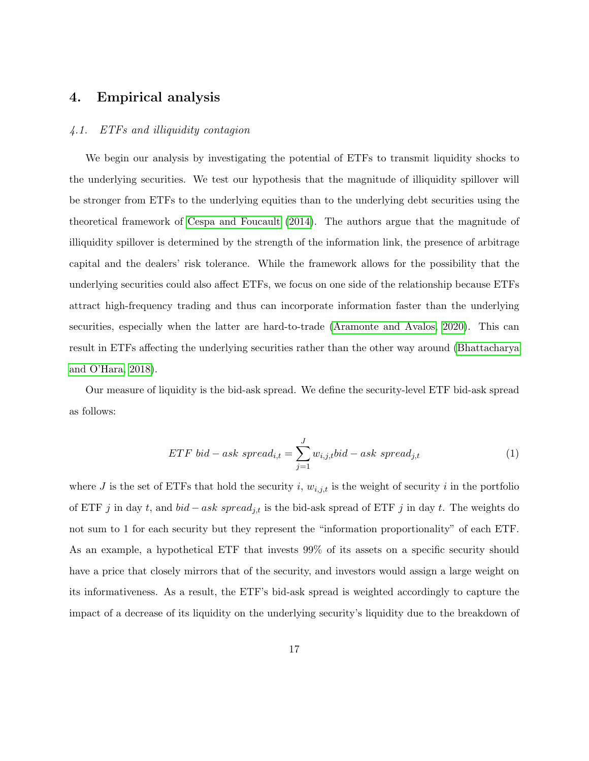## <span id="page-17-0"></span>4. Empirical analysis

#### 4.1. ETFs and illiquidity contagion

We begin our analysis by investigating the potential of ETFs to transmit liquidity shocks to the underlying securities. We test our hypothesis that the magnitude of illiquidity spillover will be stronger from ETFs to the underlying equities than to the underlying debt securities using the theoretical framework of [Cespa and Foucault](#page-35-1) [\(2014\)](#page-35-1). The authors argue that the magnitude of illiquidity spillover is determined by the strength of the information link, the presence of arbitrage capital and the dealers' risk tolerance. While the framework allows for the possibility that the underlying securities could also affect ETFs, we focus on one side of the relationship because ETFs attract high-frequency trading and thus can incorporate information faster than the underlying securities, especially when the latter are hard-to-trade [\(Aramonte and Avalos, 2020\)](#page-34-8). This can result in ETFs affecting the underlying securities rather than the other way around [\(Bhattacharya](#page-34-6) [and O'Hara, 2018\)](#page-34-6).

Our measure of liquidity is the bid-ask spread. We define the security-level ETF bid-ask spread as follows:

$$
ETF bid - ask\ spread_{i,t} = \sum_{j=1}^{J} w_{i,j,t} bid - ask\ spread_{j,t}
$$
\n<sup>(1)</sup>

where J is the set of ETFs that hold the security i,  $w_{i,j,t}$  is the weight of security i in the portfolio of ETF j in day t, and  $bid - ask\ spread_{j,t}$  is the bid-ask spread of ETF j in day t. The weights do not sum to 1 for each security but they represent the "information proportionality" of each ETF. As an example, a hypothetical ETF that invests 99% of its assets on a specific security should have a price that closely mirrors that of the security, and investors would assign a large weight on its informativeness. As a result, the ETF's bid-ask spread is weighted accordingly to capture the impact of a decrease of its liquidity on the underlying security's liquidity due to the breakdown of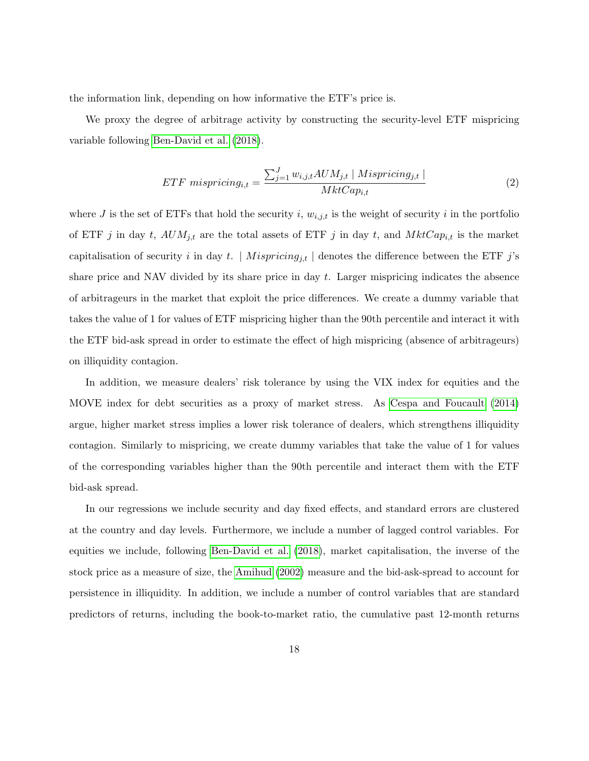the information link, depending on how informative the ETF's price is.

We proxy the degree of arbitrage activity by constructing the security-level ETF mispricing variable following [Ben-David et al.](#page-34-5) [\(2018\)](#page-34-5).

$$
ETF\ mispricing_{i,t} = \frac{\sum_{j=1}^{J} w_{i,j,t} AUM_{j,t} \mid Mispricing_{j,t} \mid}{MktCap_{i,t}}
$$
\n
$$
(2)
$$

where J is the set of ETFs that hold the security i,  $w_{i,j,t}$  is the weight of security i in the portfolio of ETF j in day t,  $AUM_{j,t}$  are the total assets of ETF j in day t, and  $MktCap_{i,t}$  is the market capitalisation of security i in day t. |  $M is pricing_{j,t}$  | denotes the difference between the ETF j's share price and NAV divided by its share price in day  $t$ . Larger mispricing indicates the absence of arbitrageurs in the market that exploit the price differences. We create a dummy variable that takes the value of 1 for values of ETF mispricing higher than the 90th percentile and interact it with the ETF bid-ask spread in order to estimate the effect of high mispricing (absence of arbitrageurs) on illiquidity contagion.

In addition, we measure dealers' risk tolerance by using the VIX index for equities and the MOVE index for debt securities as a proxy of market stress. As [Cespa and Foucault](#page-35-1) [\(2014\)](#page-35-1) argue, higher market stress implies a lower risk tolerance of dealers, which strengthens illiquidity contagion. Similarly to mispricing, we create dummy variables that take the value of 1 for values of the corresponding variables higher than the 90th percentile and interact them with the ETF bid-ask spread.

In our regressions we include security and day fixed effects, and standard errors are clustered at the country and day levels. Furthermore, we include a number of lagged control variables. For equities we include, following [Ben-David et al.](#page-34-5) [\(2018\)](#page-34-5), market capitalisation, the inverse of the stock price as a measure of size, the [Amihud](#page-34-9) [\(2002\)](#page-34-9) measure and the bid-ask-spread to account for persistence in illiquidity. In addition, we include a number of control variables that are standard predictors of returns, including the book-to-market ratio, the cumulative past 12-month returns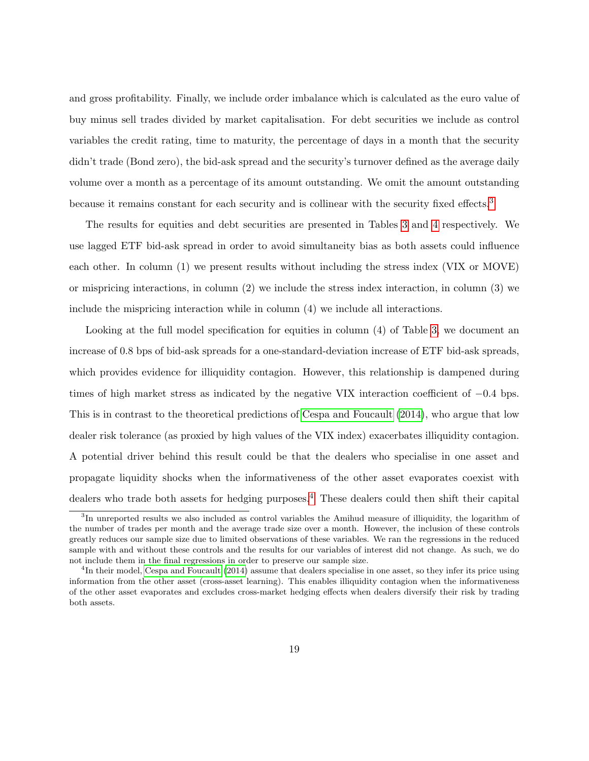and gross profitability. Finally, we include order imbalance which is calculated as the euro value of buy minus sell trades divided by market capitalisation. For debt securities we include as control variables the credit rating, time to maturity, the percentage of days in a month that the security didn't trade (Bond zero), the bid-ask spread and the security's turnover defined as the average daily volume over a month as a percentage of its amount outstanding. We omit the amount outstanding because it remains constant for each security and is collinear with the security fixed effects.<sup>[3](#page-19-0)</sup>

The results for equities and debt securities are presented in Tables [3](#page-22-0) and [4](#page-23-0) respectively. We use lagged ETF bid-ask spread in order to avoid simultaneity bias as both assets could influence each other. In column (1) we present results without including the stress index (VIX or MOVE) or mispricing interactions, in column (2) we include the stress index interaction, in column (3) we include the mispricing interaction while in column (4) we include all interactions.

Looking at the full model specification for equities in column (4) of Table [3,](#page-22-0) we document an increase of 0.8 bps of bid-ask spreads for a one-standard-deviation increase of ETF bid-ask spreads, which provides evidence for illiquidity contagion. However, this relationship is dampened during times of high market stress as indicated by the negative VIX interaction coefficient of −0.4 bps. This is in contrast to the theoretical predictions of [Cespa and Foucault](#page-35-1) [\(2014\)](#page-35-1), who argue that low dealer risk tolerance (as proxied by high values of the VIX index) exacerbates illiquidity contagion. A potential driver behind this result could be that the dealers who specialise in one asset and propagate liquidity shocks when the informativeness of the other asset evaporates coexist with dealers who trade both assets for hedging purposes.<sup>[4](#page-19-1)</sup> These dealers could then shift their capital

<span id="page-19-0"></span><sup>&</sup>lt;sup>3</sup>In unreported results we also included as control variables the Amihud measure of illiquidity, the logarithm of the number of trades per month and the average trade size over a month. However, the inclusion of these controls greatly reduces our sample size due to limited observations of these variables. We ran the regressions in the reduced sample with and without these controls and the results for our variables of interest did not change. As such, we do not include them in the final regressions in order to preserve our sample size.

<span id="page-19-1"></span><sup>&</sup>lt;sup>4</sup>In their model, [Cespa and Foucault](#page-35-1) [\(2014\)](#page-35-1) assume that dealers specialise in one asset, so they infer its price using information from the other asset (cross-asset learning). This enables illiquidity contagion when the informativeness of the other asset evaporates and excludes cross-market hedging effects when dealers diversify their risk by trading both assets.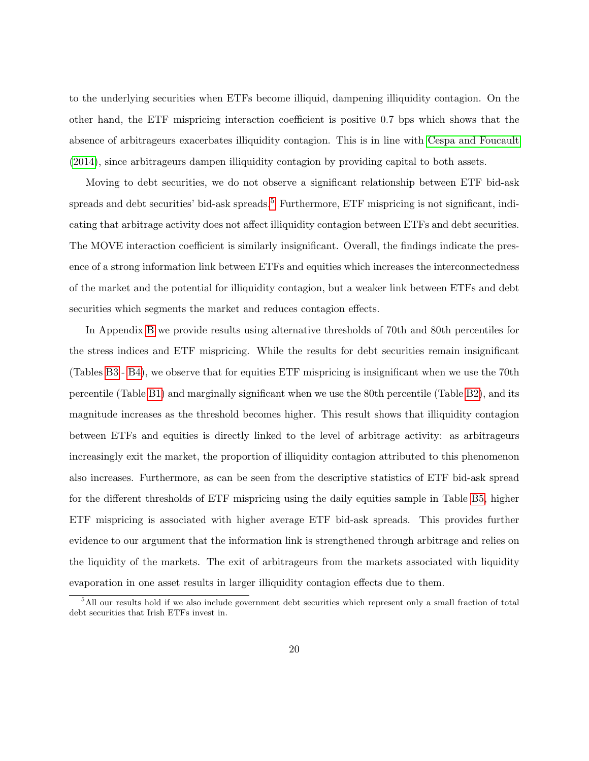to the underlying securities when ETFs become illiquid, dampening illiquidity contagion. On the other hand, the ETF mispricing interaction coefficient is positive 0.7 bps which shows that the absence of arbitrageurs exacerbates illiquidity contagion. This is in line with [Cespa and Foucault](#page-35-1) [\(2014\)](#page-35-1), since arbitrageurs dampen illiquidity contagion by providing capital to both assets.

Moving to debt securities, we do not observe a significant relationship between ETF bid-ask spreads and debt securities' bid-ask spreads.<sup>[5](#page-20-0)</sup> Furthermore, ETF mispricing is not significant, indicating that arbitrage activity does not affect illiquidity contagion between ETFs and debt securities. The MOVE interaction coefficient is similarly insignificant. Overall, the findings indicate the presence of a strong information link between ETFs and equities which increases the interconnectedness of the market and the potential for illiquidity contagion, but a weaker link between ETFs and debt securities which segments the market and reduces contagion effects.

In Appendix [B](#page-40-0) we provide results using alternative thresholds of 70th and 80th percentiles for the stress indices and ETF mispricing. While the results for debt securities remain insignificant (Tables [B3](#page-43-0) - [B4\)](#page-44-0), we observe that for equities ETF mispricing is insignificant when we use the 70th percentile (Table [B1\)](#page-41-0) and marginally significant when we use the 80th percentile (Table [B2\)](#page-42-0), and its magnitude increases as the threshold becomes higher. This result shows that illiquidity contagion between ETFs and equities is directly linked to the level of arbitrage activity: as arbitrageurs increasingly exit the market, the proportion of illiquidity contagion attributed to this phenomenon also increases. Furthermore, as can be seen from the descriptive statistics of ETF bid-ask spread for the different thresholds of ETF mispricing using the daily equities sample in Table [B5,](#page-44-1) higher ETF mispricing is associated with higher average ETF bid-ask spreads. This provides further evidence to our argument that the information link is strengthened through arbitrage and relies on the liquidity of the markets. The exit of arbitrageurs from the markets associated with liquidity evaporation in one asset results in larger illiquidity contagion effects due to them.

<span id="page-20-0"></span><sup>&</sup>lt;sup>5</sup>All our results hold if we also include government debt securities which represent only a small fraction of total debt securities that Irish ETFs invest in.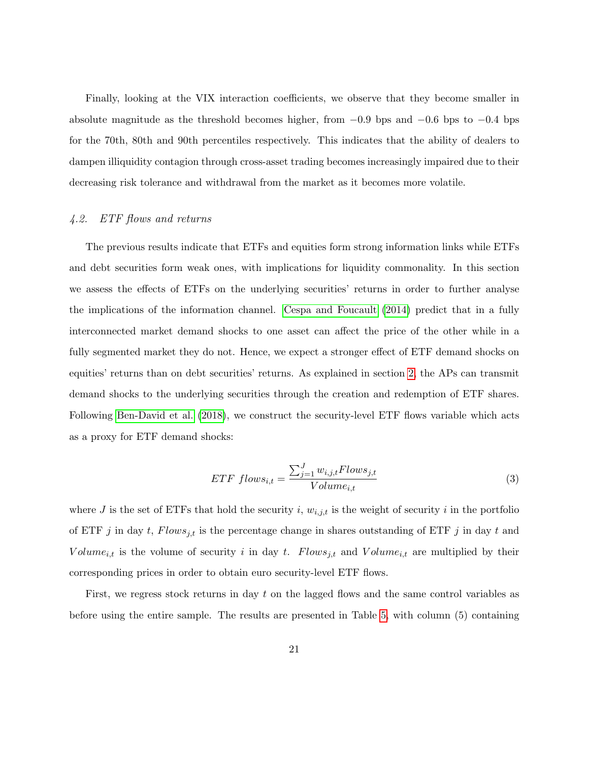Finally, looking at the VIX interaction coefficients, we observe that they become smaller in absolute magnitude as the threshold becomes higher, from  $-0.9$  bps and  $-0.6$  bps to  $-0.4$  bps for the 70th, 80th and 90th percentiles respectively. This indicates that the ability of dealers to dampen illiquidity contagion through cross-asset trading becomes increasingly impaired due to their decreasing risk tolerance and withdrawal from the market as it becomes more volatile.

### 4.2. ETF flows and returns

The previous results indicate that ETFs and equities form strong information links while ETFs and debt securities form weak ones, with implications for liquidity commonality. In this section we assess the effects of ETFs on the underlying securities' returns in order to further analyse the implications of the information channel. [Cespa and Foucault](#page-35-1) [\(2014\)](#page-35-1) predict that in a fully interconnected market demand shocks to one asset can affect the price of the other while in a fully segmented market they do not. Hence, we expect a stronger effect of ETF demand shocks on equities' returns than on debt securities' returns. As explained in section [2,](#page-8-0) the APs can transmit demand shocks to the underlying securities through the creation and redemption of ETF shares. Following [Ben-David et al.](#page-34-5) [\(2018\)](#page-34-5), we construct the security-level ETF flows variable which acts as a proxy for ETF demand shocks:

$$
ETF\ flows_{i,t} = \frac{\sum_{j=1}^{J} w_{i,j,t}Flows_{j,t}}{Volume_{i,t}} \tag{3}
$$

where J is the set of ETFs that hold the security i,  $w_{i,j,t}$  is the weight of security i in the portfolio of ETF j in day t,  $Flows_{j,t}$  is the percentage change in shares outstanding of ETF j in day t and Volume<sub>i,t</sub> is the volume of security i in day t. Flows<sub>j,t</sub> and Volume<sub>i,t</sub> are multiplied by their corresponding prices in order to obtain euro security-level ETF flows.

First, we regress stock returns in day t on the lagged flows and the same control variables as before using the entire sample. The results are presented in Table [5,](#page-27-0) with column (5) containing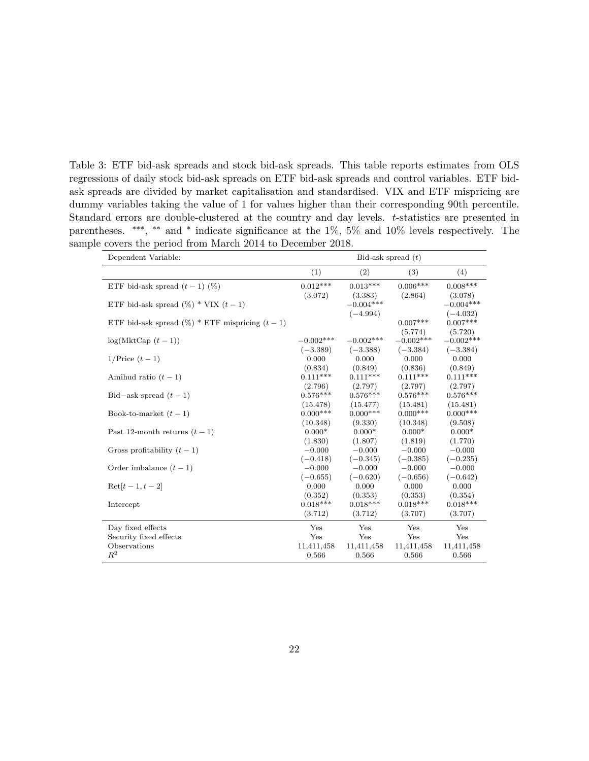<span id="page-22-0"></span>Table 3: ETF bid-ask spreads and stock bid-ask spreads. This table reports estimates from OLS regressions of daily stock bid-ask spreads on ETF bid-ask spreads and control variables. ETF bidask spreads are divided by market capitalisation and standardised. VIX and ETF mispricing are dummy variables taking the value of 1 for values higher than their corresponding 90th percentile. Standard errors are double-clustered at the country and day levels. t-statistics are presented in parentheses. \*\*\*, \*\* and \* indicate significance at the 1%, 5% and 10% levels respectively. The sample covers the period from March 2014 to December 2018.

| Dependent Variable:                                |                       | Bid-ask spread $(t)$ |                  |                       |
|----------------------------------------------------|-----------------------|----------------------|------------------|-----------------------|
|                                                    | (1)                   | (2)                  | (3)              | (4)                   |
| ETF bid-ask spread $(t-1)$ (%)                     | $0.012***$            | $0.013***$           | $0.006***$       | $0.008***$            |
|                                                    | (3.072)               | (3.383)              | (2.864)          | (3.078)               |
| ETF bid-ask spread $(\%)$ * VIX $(t-1)$            |                       | $-0.004***$          |                  | $-0.004***$           |
|                                                    |                       | $(-4.994)$           |                  | $(-4.032)$            |
| ETF bid-ask spread $(\%)$ * ETF mispricing $(t-1)$ |                       |                      | $0.007***$       | $0.007***$            |
|                                                    |                       |                      | (5.774)          | (5.720)               |
| $log(MktCap(t-1))$                                 | $-0.002***$           | $-0.002***$          | $-0.002$ ***     | $-0.002***$           |
|                                                    | $(-3.389)$            | $(-3.388)$           | $(-3.384)$       | $(-3.384)$            |
| $1/\text{Price } (t-1)$                            | 0.000                 | 0.000<br>(0.849)     | 0.000<br>(0.836) | 0.000                 |
| Amihud ratio $(t-1)$                               | (0.834)<br>$0.111***$ | $0.111***$           | $0.111***$       | (0.849)<br>$0.111***$ |
|                                                    | (2.796)               | (2.797)              | (2.797)          | (2.797)               |
| Bid-ask spread $(t-1)$                             | $0.576***$            | $0.576***$           | $0.576***$       | $0.576***$            |
|                                                    | (15.478)              | (15.477)             | (15.481)         | (15.481)              |
| Book-to-market $(t-1)$                             | $0.000***$            | $0.000***$           | $0.000***$       | $0.000***$            |
|                                                    | (10.348)              | (9.330)              | (10.348)         | (9.508)               |
| Past 12-month returns $(t-1)$                      | $0.000*$              | $0.000*$             | $0.000*$         | $0.000*$              |
|                                                    | (1.830)               | (1.807)              | (1.819)          | (1.770)               |
| Gross profitability $(t-1)$                        | $-0.000$              | $-0.000$             | $-0.000$         | $-0.000$              |
|                                                    | $(-0.418)$            | $(-0.345)$           | $(-0.385)$       | $(-0.235)$            |
| Order imbalance $(t-1)$                            | $-0.000$              | $-0.000$             | $-0.000$         | $-0.000$              |
|                                                    | $(-0.655)$            | $(-0.620)$           | $(-0.656)$       | $(-0.642)$            |
| $Ret[t-1, t-2]$                                    | 0.000                 | 0.000                | 0.000            | 0.000                 |
|                                                    | (0.352)               | (0.353)              | (0.353)          | (0.354)               |
| Intercept                                          | $0.018***$            | $0.018***$           | $0.018***$       | $0.018***$            |
|                                                    | (3.712)               | (3.712)              | (3.707)          | (3.707)               |
| Day fixed effects                                  | Yes                   | Yes                  | Yes              | Yes                   |
| Security fixed effects                             | Yes                   | Yes                  | Yes              | Yes                   |
| Observations                                       | 11,411,458            | 11,411,458           | 11,411,458       | 11,411,458            |
| $R^2$                                              | 0.566                 | 0.566                | 0.566            | 0.566                 |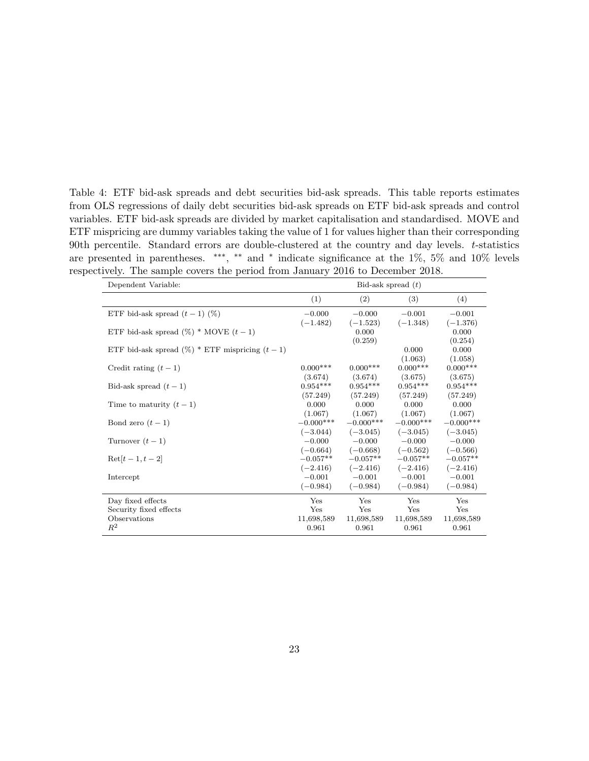<span id="page-23-0"></span>Table 4: ETF bid-ask spreads and debt securities bid-ask spreads. This table reports estimates from OLS regressions of daily debt securities bid-ask spreads on ETF bid-ask spreads and control variables. ETF bid-ask spreads are divided by market capitalisation and standardised. MOVE and ETF mispricing are dummy variables taking the value of 1 for values higher than their corresponding 90th percentile. Standard errors are double-clustered at the country and day levels.  $t$ -statistics are presented in parentheses. \*\*\*, \*\* and \* indicate significance at the 1%, 5% and 10% levels respectively. The sample covers the period from January 2016 to December 2018.

| Dependent Variable:                                |             |             | Bid-ask spread $(t)$ |             |
|----------------------------------------------------|-------------|-------------|----------------------|-------------|
|                                                    | (1)         | (2)         | (3)                  | (4)         |
| ETF bid-ask spread $(t-1)$ (%)                     | $-0.000$    | $-0.000$    | $-0.001$             | $-0.001$    |
|                                                    | $(-1.482)$  | $(-1.523)$  | $(-1.348)$           | $(-1.376)$  |
| ETF bid-ask spread $(\%)$ * MOVE $(t-1)$           |             | 0.000       |                      | 0.000       |
|                                                    |             | (0.259)     |                      | (0.254)     |
| ETF bid-ask spread $(\%)$ * ETF mispricing $(t-1)$ |             |             | 0.000                | 0.000       |
|                                                    |             |             | (1.063)              | (1.058)     |
| Credit rating $(t-1)$                              | $0.000***$  | $0.000$ *** | $0.000***$           | $0.000***$  |
|                                                    | (3.674)     | (3.674)     | (3.675)              | (3.675)     |
| Bid-ask spread $(t-1)$                             | $0.954***$  | $0.954***$  | $0.954***$           | $0.954***$  |
|                                                    | (57.249)    | (57.249)    | (57.249)             | (57.249)    |
| Time to maturity $(t-1)$                           | 0.000       | 0.000       | 0.000                | 0.000       |
|                                                    | (1.067)     | (1.067)     | (1.067)              | (1.067)     |
| Bond zero $(t-1)$                                  | $-0.000***$ | $-0.000***$ | $-0.000***$          | $-0.000***$ |
|                                                    | $(-3.044)$  | $(-3.045)$  | $(-3.045)$           | $(-3.045)$  |
| Turnover $(t-1)$                                   | $-0.000$    | $-0.000$    | $-0.000$             | $-0.000$    |
|                                                    | $(-0.664)$  | $(-0.668)$  | $(-0.562)$           | $(-0.566)$  |
| $\text{Ret}[t-1, t-2]$                             | $-0.057**$  | $-0.057**$  | $-0.057**$           | $-0.057**$  |
|                                                    | $(-2.416)$  | $(-2.416)$  | $(-2.416)$           | $(-2.416)$  |
| Intercept                                          | $-0.001$    | $-0.001$    | $-0.001$             | $-0.001$    |
|                                                    | $(-0.984)$  | $(-0.984)$  | $(-0.984)$           | $(-0.984)$  |
| Day fixed effects                                  | Yes         | Yes         | Yes                  | Yes         |
| Security fixed effects                             | Yes         | Yes         | Yes                  | Yes         |
| Observations                                       | 11,698,589  | 11,698,589  | 11,698,589           | 11,698,589  |
| $R^2$                                              | 0.961       | 0.961       | 0.961                | 0.961       |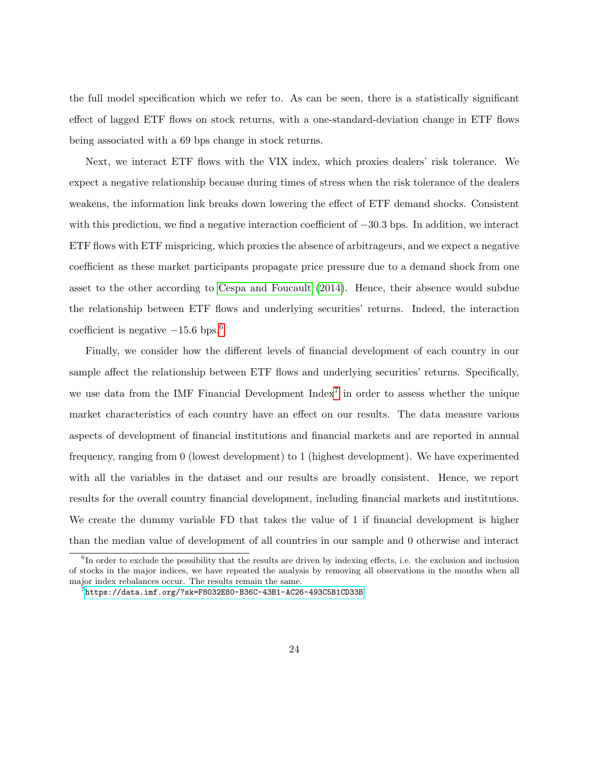the full model specification which we refer to. As can be seen, there is a statistically significant effect of lagged ETF flows on stock returns, with a one-standard-deviation change in ETF flows being associated with a 69 bps change in stock returns.

Next, we interact ETF flows with the VIX index, which proxies dealers' risk tolerance. We expect a negative relationship because during times of stress when the risk tolerance of the dealers weakens, the information link breaks down lowering the effect of ETF demand shocks. Consistent with this prediction, we find a negative interaction coefficient of −30.3 bps. In addition, we interact ETF flows with ETF mispricing, which proxies the absence of arbitrageurs, and we expect a negative coefficient as these market participants propagate price pressure due to a demand shock from one asset to the other according to [Cespa and Foucault](#page-35-1) [\(2014\)](#page-35-1). Hence, their absence would subdue the relationship between ETF flows and underlying securities' returns. Indeed, the interaction coefficient is negative  $-15.6$  $-15.6$  bps.<sup>6</sup>

Finally, we consider how the different levels of financial development of each country in our sample affect the relationship between ETF flows and underlying securities' returns. Specifically, we use data from the IMF Financial Development Index<sup>[7](#page-24-1)</sup> in order to assess whether the unique market characteristics of each country have an effect on our results. The data measure various aspects of development of financial institutions and financial markets and are reported in annual frequency, ranging from 0 (lowest development) to 1 (highest development). We have experimented with all the variables in the dataset and our results are broadly consistent. Hence, we report results for the overall country financial development, including financial markets and institutions. We create the dummy variable FD that takes the value of 1 if financial development is higher than the median value of development of all countries in our sample and 0 otherwise and interact

<span id="page-24-0"></span><sup>&</sup>lt;sup>6</sup>In order to exclude the possibility that the results are driven by indexing effects, i.e. the exclusion and inclusion of stocks in the major indices, we have repeated the analysis by removing all observations in the months when all major index rebalances occur. The results remain the same.

<span id="page-24-1"></span> $^{7}$ <https://data.imf.org/?sk=F8032E80-B36C-43B1-AC26-493C5B1CD33B>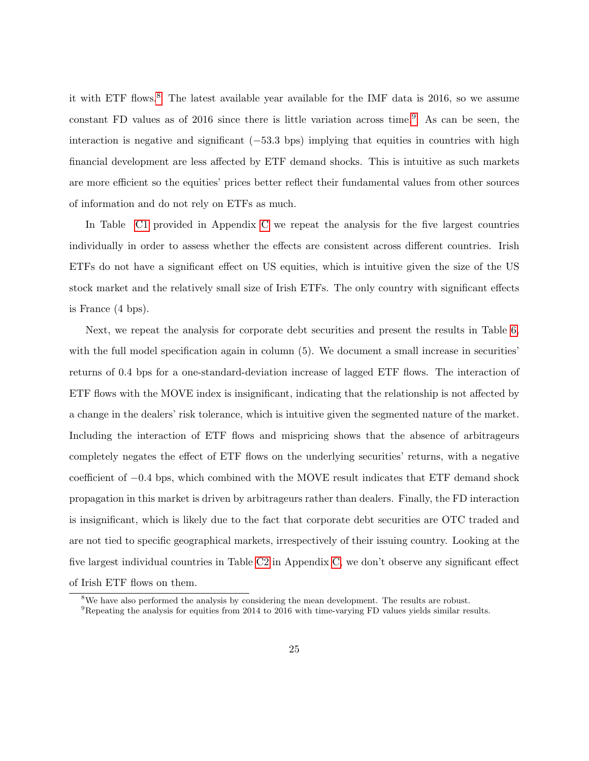it with ETF flows.<sup>[8](#page-25-0)</sup> The latest available year available for the IMF data is 2016, so we assume constant FD values as of 2016 since there is little variation across time.<sup>[9](#page-25-1)</sup> As can be seen, the interaction is negative and significant  $(-53.3 \text{ bps})$  implying that equities in countries with high financial development are less affected by ETF demand shocks. This is intuitive as such markets are more efficient so the equities' prices better reflect their fundamental values from other sources of information and do not rely on ETFs as much.

In Table [C1](#page-46-0) provided in Appendix [C](#page-45-0) we repeat the analysis for the five largest countries individually in order to assess whether the effects are consistent across different countries. Irish ETFs do not have a significant effect on US equities, which is intuitive given the size of the US stock market and the relatively small size of Irish ETFs. The only country with significant effects is France (4 bps).

Next, we repeat the analysis for corporate debt securities and present the results in Table [6,](#page-28-0) with the full model specification again in column  $(5)$ . We document a small increase in securities' returns of 0.4 bps for a one-standard-deviation increase of lagged ETF flows. The interaction of ETF flows with the MOVE index is insignificant, indicating that the relationship is not affected by a change in the dealers' risk tolerance, which is intuitive given the segmented nature of the market. Including the interaction of ETF flows and mispricing shows that the absence of arbitrageurs completely negates the effect of ETF flows on the underlying securities' returns, with a negative coefficient of −0.4 bps, which combined with the MOVE result indicates that ETF demand shock propagation in this market is driven by arbitrageurs rather than dealers. Finally, the FD interaction is insignificant, which is likely due to the fact that corporate debt securities are OTC traded and are not tied to specific geographical markets, irrespectively of their issuing country. Looking at the five largest individual countries in Table [C2](#page-47-0) in Appendix [C,](#page-45-0) we don't observe any significant effect of Irish ETF flows on them.

<span id="page-25-0"></span><sup>&</sup>lt;sup>8</sup>We have also performed the analysis by considering the mean development. The results are robust.

<span id="page-25-1"></span><sup>9</sup>Repeating the analysis for equities from 2014 to 2016 with time-varying FD values yields similar results.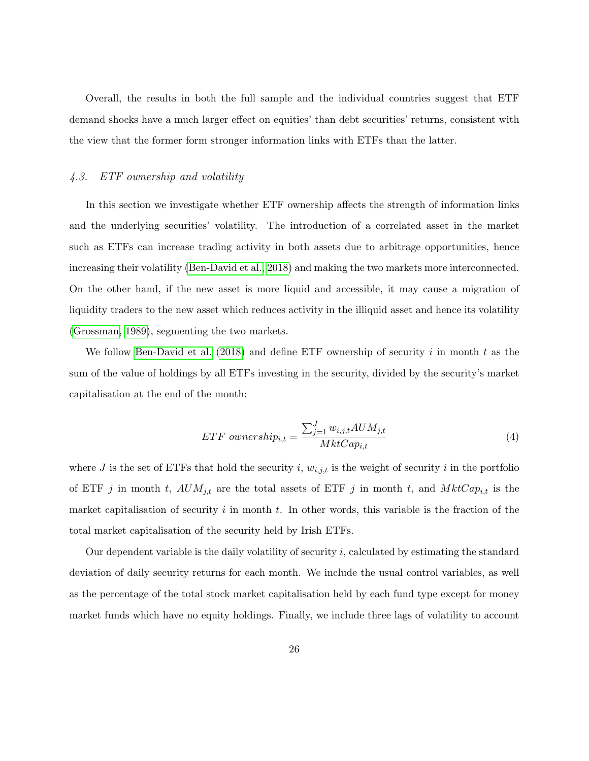Overall, the results in both the full sample and the individual countries suggest that ETF demand shocks have a much larger effect on equities' than debt securities' returns, consistent with the view that the former form stronger information links with ETFs than the latter.

### 4.3. ETF ownership and volatility

In this section we investigate whether ETF ownership affects the strength of information links and the underlying securities' volatility. The introduction of a correlated asset in the market such as ETFs can increase trading activity in both assets due to arbitrage opportunities, hence increasing their volatility [\(Ben-David et al., 2018\)](#page-34-5) and making the two markets more interconnected. On the other hand, if the new asset is more liquid and accessible, it may cause a migration of liquidity traders to the new asset which reduces activity in the illiquid asset and hence its volatility [\(Grossman, 1989\)](#page-35-5), segmenting the two markets.

We follow [Ben-David et al.](#page-34-5) [\(2018\)](#page-34-5) and define ETF ownership of security i in month t as the sum of the value of holdings by all ETFs investing in the security, divided by the security's market capitalisation at the end of the month:

$$
ETF \text{ ownership}_{i,t} = \frac{\sum_{j=1}^{J} w_{i,j,t} A U M_{j,t}}{Mkt Cap_{i,t}} \tag{4}
$$

where J is the set of ETFs that hold the security i,  $w_{i,j,t}$  is the weight of security i in the portfolio of ETF j in month t,  $AUM_{j,t}$  are the total assets of ETF j in month t, and  $MktCap_{i,t}$  is the market capitalisation of security  $i$  in month  $t$ . In other words, this variable is the fraction of the total market capitalisation of the security held by Irish ETFs.

Our dependent variable is the daily volatility of security i, calculated by estimating the standard deviation of daily security returns for each month. We include the usual control variables, as well as the percentage of the total stock market capitalisation held by each fund type except for money market funds which have no equity holdings. Finally, we include three lags of volatility to account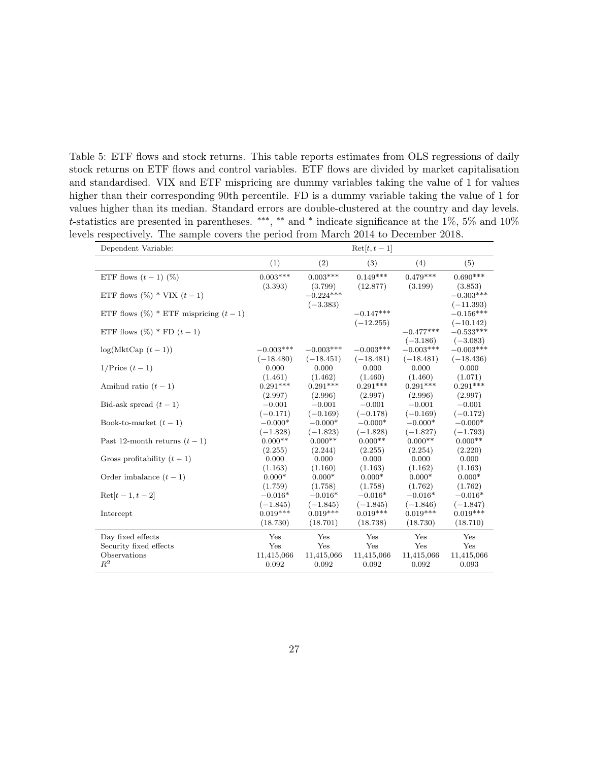<span id="page-27-0"></span>Table 5: ETF flows and stock returns. This table reports estimates from OLS regressions of daily stock returns on ETF flows and control variables. ETF flows are divided by market capitalisation and standardised. VIX and ETF mispricing are dummy variables taking the value of 1 for values higher than their corresponding 90th percentile. FD is a dummy variable taking the value of 1 for values higher than its median. Standard errors are double-clustered at the country and day levels. t-statistics are presented in parentheses. \*\*\*, \*\* and \* indicate significance at the 1%, 5% and 10% levels respectively. The sample covers the period from March 2014 to December 2018.

| Dependent Variable:                       |             |             | $\text{Ret}[t, t-1]$ |             |                            |
|-------------------------------------------|-------------|-------------|----------------------|-------------|----------------------------|
|                                           | (1)         | (2)         | (3)                  | (4)         | (5)                        |
| ETF flows $(t-1)$ (%)                     | $0.003***$  | $0.003***$  | $0.149***$           | $0.479***$  | $0.690***$                 |
|                                           | (3.393)     | (3.799)     | (12.877)             | (3.199)     | (3.853)                    |
| ETF flows $(\%)$ * VIX $(t-1)$            |             | $-0.224***$ |                      |             | $-0.303***$                |
| ETF flows $(\%)$ * ETF mispricing $(t-1)$ |             | $(-3.383)$  | $-0.147***$          |             | $(-11.393)$<br>$-0.156***$ |
|                                           |             |             | $(-12.255)$          |             | $(-10.142)$                |
| ETF flows $(\%)$ * FD $(t-1)$             |             |             |                      | $-0.477***$ | $-0.533***$                |
|                                           |             |             |                      | $(-3.186)$  | $(-3.083)$                 |
| $log(MktCap(t-1))$                        | $-0.003***$ | $-0.003***$ | $-0.003***$          | $-0.003***$ | $-0.003***$                |
|                                           | $(-18.480)$ | $(-18.451)$ | $(-18.481)$          | $(-18.481)$ | $(-18.436)$                |
| $1/\text{Price } (t-1)$                   | 0.000       | 0.000       | 0.000                | 0.000       | 0.000                      |
|                                           | (1.461)     | (1.462)     | (1.460)              | (1.460)     | (1.071)                    |
| Amihud ratio $(t-1)$                      | $0.291***$  | $0.291***$  | $0.291***$           | $0.291***$  | $0.291***$                 |
|                                           | (2.997)     | (2.996)     | (2.997)              | (2.996)     | (2.997)                    |
| Bid-ask spread $(t-1)$                    | $-0.001$    | $-0.001$    | $-0.001$             | $-0.001$    | $-0.001$                   |
|                                           | $(-0.171)$  | $(-0.169)$  | $(-0.178)$           | $(-0.169)$  | $(-0.172)$                 |
| Book-to-market $(t-1)$                    | $-0.000*$   | $-0.000*$   | $-0.000*$            | $-0.000*$   | $-0.000*$                  |
|                                           | $(-1.828)$  | $(-1.823)$  | $(-1.828)$           | $(-1.827)$  | $(-1.793)$                 |
| Past 12-month returns $(t-1)$             | $0.000**$   | $0.000**$   | $0.000**$            | $0.000**$   | $0.000**$                  |
|                                           | (2.255)     | (2.244)     | (2.255)              | (2.254)     | (2.220)                    |
| Gross profitability $(t-1)$               | 0.000       | 0.000       | 0.000                | 0.000       | 0.000                      |
|                                           | (1.163)     | (1.160)     | (1.163)              | (1.162)     | (1.163)                    |
| Order imbalance $(t-1)$                   | $0.000*$    | $0.000*$    | $0.000*$             | $0.000*$    | $0.000*$                   |
|                                           | (1.759)     | (1.758)     | (1.758)              | (1.762)     | (1.762)                    |
| $\text{Ret}[t-1, t-2]$                    | $-0.016*$   | $-0.016*$   | $-0.016*$            | $-0.016*$   | $-0.016*$                  |
|                                           | $(-1.845)$  | $(-1.845)$  | $(-1.845)$           | $(-1.846)$  | $(-1.847)$                 |
| Intercept                                 | $0.019***$  | $0.019***$  | $0.019***$           | $0.019***$  | $0.019***$                 |
|                                           | (18.730)    | (18.701)    | (18.738)             | (18.730)    | (18.710)                   |
| Day fixed effects                         | Yes         | Yes         | Yes                  | Yes         | Yes                        |
| Security fixed effects                    | Yes         | Yes         | Yes                  | Yes         | Yes                        |
| Observations                              | 11,415,066  | 11,415,066  | 11,415,066           | 11,415,066  | 11,415,066                 |
| $R^2$                                     | 0.092       | 0.092       | 0.092                | 0.092       | 0.093                      |
|                                           |             |             |                      |             |                            |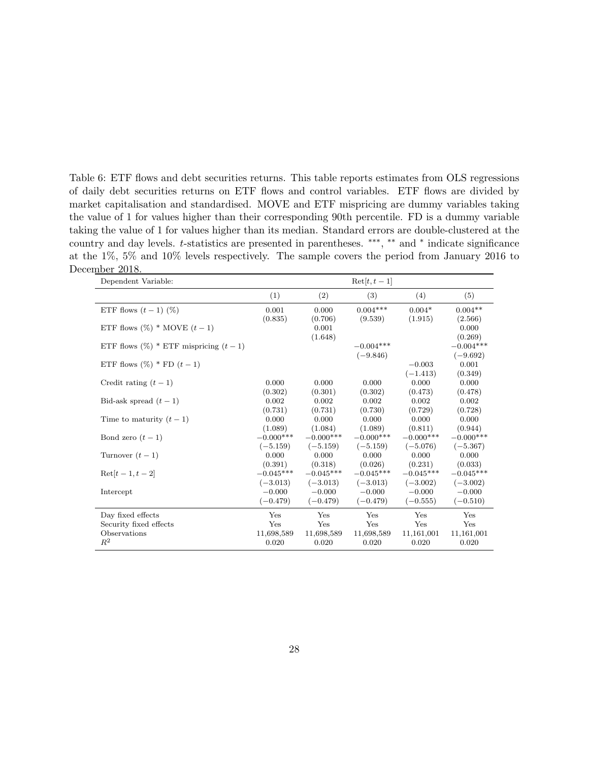<span id="page-28-0"></span>Table 6: ETF flows and debt securities returns. This table reports estimates from OLS regressions of daily debt securities returns on ETF flows and control variables. ETF flows are divided by market capitalisation and standardised. MOVE and ETF mispricing are dummy variables taking the value of 1 for values higher than their corresponding 90th percentile. FD is a dummy variable taking the value of 1 for values higher than its median. Standard errors are double-clustered at the country and day levels. t-statistics are presented in parentheses. \*\*\*, \*\* and \* indicate significance at the 1%, 5% and 10% levels respectively. The sample covers the period from January 2016 to December 2018.

| Dependent Variable:                       |                     |                     | $\text{Ret}[t, t-1]$ |                     |                     |
|-------------------------------------------|---------------------|---------------------|----------------------|---------------------|---------------------|
|                                           | (1)                 | (2)                 | (3)                  | (4)                 | (5)                 |
| ETF flows $(t-1)$ (%)                     | 0.001               | 0.000               | $0.004***$           | $0.004*$            | $0.004**$           |
|                                           | (0.835)             | (0.706)             | (9.539)              | (1.915)             | (2.566)             |
| ETF flows $(\%)$ * MOVE $(t-1)$           |                     | 0.001               |                      |                     | 0.000               |
|                                           |                     | (1.648)             |                      |                     | (0.269)             |
| ETF flows $(\%)$ * ETF mispricing $(t-1)$ |                     |                     | $-0.004***$          |                     | $-0.004***$         |
|                                           |                     |                     | $(-9.846)$           |                     | $(-9.692)$          |
| ETF flows $(\%)$ * FD $(t-1)$             |                     |                     |                      | $-0.003$            | 0.001               |
|                                           |                     |                     |                      | $(-1.413)$          | (0.349)             |
| Credit rating $(t-1)$                     | 0.000               | 0.000               | 0.000                | 0.000               | 0.000               |
|                                           | (0.302)             | (0.301)             | (0.302)              | (0.473)             | (0.478)             |
| Bid-ask spread $(t-1)$                    | 0.002               | 0.002               | 0.002                | 0.002               | 0.002               |
|                                           | (0.731)             | (0.731)             | (0.730)              | (0.729)             | (0.728)             |
| Time to maturity $(t-1)$                  | 0.000               | 0.000               | 0.000                | 0.000               | 0.000               |
|                                           | (1.089)             | (1.084)             | (1.089)              | (0.811)             | (0.944)             |
| Bond zero $(t-1)$                         | $-0.000***$         | $-0.000***$         | $-0.000***$          | $-0.000***$         | $-0.000***$         |
|                                           | $(-5.159)$<br>0.000 | $(-5.159)$<br>0.000 | $(-5.159)$<br>0.000  | $(-5.076)$<br>0.000 | $(-5.367)$<br>0.000 |
| Turnover $(t-1)$                          | (0.391)             | (0.318)             | (0.026)              | (0.231)             | (0.033)             |
| $Ret[t-1, t-2]$                           | $-0.045***$         | $-0.045***$         | $-0.045***$          | $-0.045***$         | $-0.045***$         |
|                                           | $(-3.013)$          | $(-3.013)$          | $(-3.013)$           | $(-3.002)$          | $(-3.002)$          |
| Intercept                                 | $-0.000$            | $-0.000$            | $-0.000$             | $-0.000$            | $-0.000$            |
|                                           | $(-0.479)$          | $(-0.479)$          | $(-0.479)$           | $(-0.555)$          | $(-0.510)$          |
|                                           |                     |                     |                      |                     |                     |
| Day fixed effects                         | Yes                 | Yes                 | Yes                  | Yes                 | Yes                 |
| Security fixed effects                    | Yes                 | Yes                 | Yes                  | Yes                 | Yes                 |
| Observations                              | 11,698,589          | 11,698,589          | 11,698,589           | 11,161,001          | 11,161,001          |
| $R^2$                                     | 0.020               | 0.020               | 0.020                | 0.020               | 0.020               |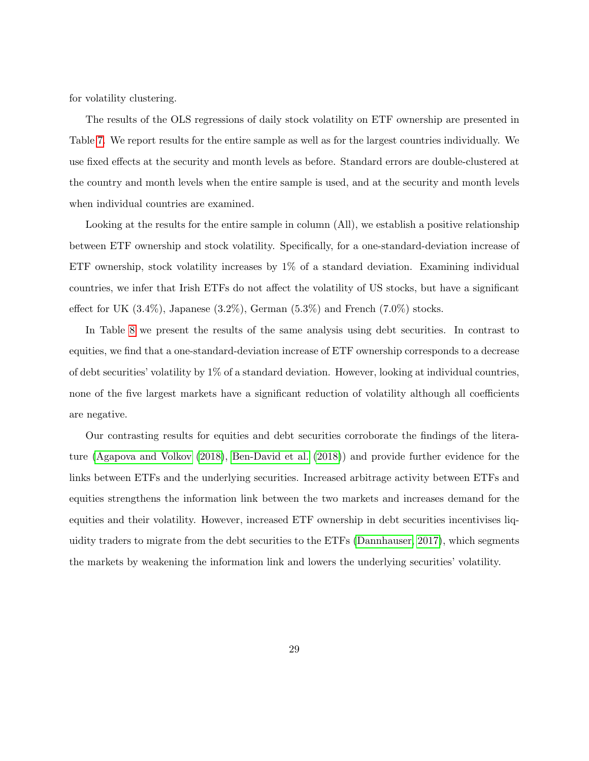for volatility clustering.

The results of the OLS regressions of daily stock volatility on ETF ownership are presented in Table [7.](#page-30-0) We report results for the entire sample as well as for the largest countries individually. We use fixed effects at the security and month levels as before. Standard errors are double-clustered at the country and month levels when the entire sample is used, and at the security and month levels when individual countries are examined.

Looking at the results for the entire sample in column (All), we establish a positive relationship between ETF ownership and stock volatility. Specifically, for a one-standard-deviation increase of ETF ownership, stock volatility increases by 1% of a standard deviation. Examining individual countries, we infer that Irish ETFs do not affect the volatility of US stocks, but have a significant effect for UK  $(3.4\%)$ , Japanese  $(3.2\%)$ , German  $(5.3\%)$  and French  $(7.0\%)$  stocks.

In Table [8](#page-31-0) we present the results of the same analysis using debt securities. In contrast to equities, we find that a one-standard-deviation increase of ETF ownership corresponds to a decrease of debt securities' volatility by 1% of a standard deviation. However, looking at individual countries, none of the five largest markets have a significant reduction of volatility although all coefficients are negative.

Our contrasting results for equities and debt securities corroborate the findings of the literature [\(Agapova and Volkov](#page-34-7) [\(2018\)](#page-34-7), [Ben-David et al.](#page-34-5) [\(2018\)](#page-34-5)) and provide further evidence for the links between ETFs and the underlying securities. Increased arbitrage activity between ETFs and equities strengthens the information link between the two markets and increases demand for the equities and their volatility. However, increased ETF ownership in debt securities incentivises liquidity traders to migrate from the debt securities to the ETFs [\(Dannhauser, 2017\)](#page-35-4), which segments the markets by weakening the information link and lowers the underlying securities' volatility.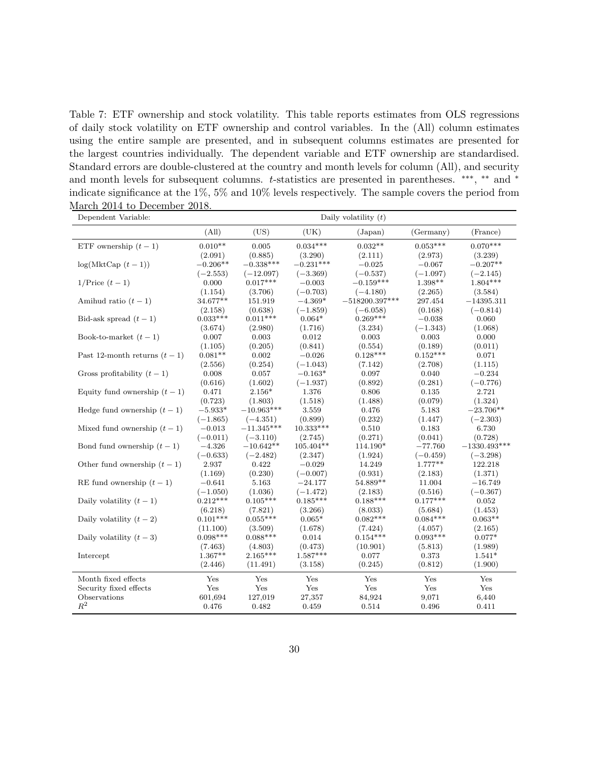<span id="page-30-0"></span>Table 7: ETF ownership and stock volatility. This table reports estimates from OLS regressions of daily stock volatility on ETF ownership and control variables. In the (All) column estimates using the entire sample are presented, and in subsequent columns estimates are presented for the largest countries individually. The dependent variable and ETF ownership are standardised. Standard errors are double-clustered at the country and month levels for column (All), and security and month levels for subsequent columns. t-statistics are presented in parentheses. \*\*\*, \*\* and \* indicate significance at the 1%, 5% and 10% levels respectively. The sample covers the period from March 2014 to December 2018.

| Dependent Variable:           |                        |                       |                       | Daily volatility $(t)$ |                       |                     |
|-------------------------------|------------------------|-----------------------|-----------------------|------------------------|-----------------------|---------------------|
|                               | (All)                  | (US)                  | (UK)                  | (Japan)                | (Germany)             | (France)            |
| ETF ownership $(t-1)$         | $0.010**$              | 0.005                 | $0.034***$            | $0.032**$              | $0.053***$            | $0.070***$          |
|                               | (2.091)                | (0.885)               | (3.290)               | (2.111)                | (2.973)               | (3.239)             |
| $log(MktCap(t-1))$            | $-0.206**$             | $-0.338***$           | $-0.231***$           | $-0.025$               | $-0.067$              | $-0.207**$          |
|                               | $(-2.553)$             | $(-12.097)$           | $(-3.369)$            | $(-0.537)$             | $(-1.097)$            | $(-2.145)$          |
| $1/\text{Price } (t-1)$       | 0.000                  | $0.017***$            | $-0.003$              | $-0.159***$            | $1.398**$             | $1.804***$          |
|                               | (1.154)                | (3.706)               | $(-0.703)$            | $(-4.180)$             | (2.265)               | (3.584)             |
| Amihud ratio $(t-1)$          | 34.677**               | 151.919               | $-4.369*$             | $-518200.397***$       | 297.454               | $-14395.311$        |
|                               | (2.158)                | (0.638)               | $(-1.859)$            | $(-6.058)$             | (0.168)               | $(-0.814)$          |
| Bid-ask spread $(t-1)$        | $0.033***$             | $0.011***$            | $0.064*$              | $0.269***$             | $-0.038$              | 0.060               |
|                               | (3.674)                | (2.980)               | (1.716)               | (3.234)                | $(-1.343)$            | (1.068)             |
| Book-to-market $(t-1)$        | 0.007                  | 0.003                 | 0.012                 | 0.003                  | 0.003                 | 0.000               |
|                               | (1.105)                | (0.205)               | (0.841)               | (0.554)                | (0.189)               | (0.011)             |
| Past 12-month returns $(t-1)$ | $0.081**$              | 0.002                 | $-0.026$              | $0.128***$             | $0.152***$            | 0.071               |
|                               | (2.556)                | (0.254)               | $(-1.043)$            | (7.142)                | (2.708)               | (1.115)             |
| Gross profitability $(t-1)$   | 0.008                  | 0.057                 | $-0.163*$             | 0.097                  | 0.040                 | $-0.234$            |
|                               | (0.616)                | (1.602)               | $(-1.937)$            | (0.892)                | (0.281)               | $(-0.776)$          |
| Equity fund ownership $(t-1)$ | 0.471                  | $2.156*$              | 1.376                 | 0.806                  | 0.135                 | 2.721               |
|                               | (0.723)                | (1.803)               | (1.518)               | (1.488)                | (0.079)               | (1.324)             |
| Hedge fund ownership $(t-1)$  | $-5.933*$              | $-10.963***$          | 3.559                 | 0.476                  | 5.183                 | $-23.706**$         |
|                               | $(-1.865)$             | $(-4.351)$            | (0.899)               | (0.232)                | (1.447)               | $(-2.303)$          |
| Mixed fund ownership $(t-1)$  | $-0.013$               | $-11.345***$          | $10.333***$           | 0.510                  | 0.183                 | 6.730               |
|                               | $(-0.011)$             | $(-3.110)$            | (2.745)               | (0.271)                | (0.041)               | (0.728)             |
| Bond fund ownership $(t-1)$   | $-4.326$               | $-10.642**$           | $105.404**$           | 114.190*               | $-77.760$             | $-1330.493***$      |
|                               | $(-0.633)$             | $(-2.482)$            | (2.347)               | (1.924)                | $(-0.459)$            | $(-3.298)$          |
| Other fund ownership $(t-1)$  | 2.937                  | 0.422                 | $-0.029$              | 14.249                 | $1.777**$             | 122.218             |
|                               | (1.169)                | (0.230)               | $(-0.007)$            | (0.931)                | (2.183)               | (1.371)             |
| RE fund ownership $(t-1)$     | $-0.641$               | 5.163                 | $-24.177$             | 54.889**               | 11.004                | $-16.749$           |
|                               | $(-1.050)$             | (1.036)               | $(-1.472)$            | (2.183)                | (0.516)               | $(-0.367)$          |
| Daily volatility $(t-1)$      | $0.212***$             | $0.105***$            | $0.185***$            | $0.188***$             | $0.177***$            | 0.052               |
|                               | (6.218)                | (7.821)               | (3.266)               | (8.033)                | (5.684)               | (1.453)             |
| Daily volatility $(t-2)$      | $0.101***$             | $0.055***$            | $0.065*$              | $0.082***$             | $0.084***$            | $0.063**$           |
|                               | (11.100)<br>$0.098***$ | (3.509)<br>$0.088***$ | (1.678)<br>0.014      | (7.424)<br>$0.154***$  | (4.057)<br>$0.093***$ | (2.165)<br>$0.077*$ |
| Daily volatility $(t-3)$      |                        |                       |                       |                        |                       |                     |
| Intercept                     | (7.463)<br>$1.367**$   | (4.803)<br>$2.165***$ | (0.473)<br>$1.587***$ | (10.901)<br>0.077      | (5.813)<br>0.373      | (1.989)<br>$1.541*$ |
|                               | (2.446)                | (11.491)              | (3.158)               | (0.245)                | (0.812)               | (1.900)             |
|                               |                        |                       |                       |                        |                       |                     |
| Month fixed effects           | Yes                    | Yes                   | Yes                   | Yes                    | Yes                   | Yes                 |
| Security fixed effects        | $\operatorname{Yes}$   | Yes                   | Yes                   | Yes                    | Yes                   | Yes                 |
| Observations                  | 601,694                | 127,019               | 27,357                | 84,924                 | 9,071                 | 6,440               |
| $R^2$                         | 0.476                  | 0.482                 | 0.459                 | 0.514                  | 0.496                 | 0.411               |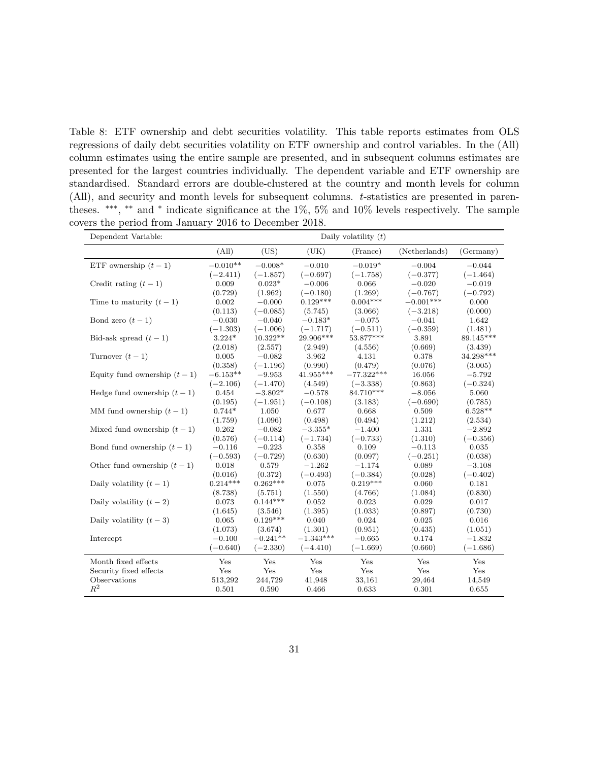<span id="page-31-0"></span>Table 8: ETF ownership and debt securities volatility. This table reports estimates from OLS regressions of daily debt securities volatility on ETF ownership and control variables. In the (All) column estimates using the entire sample are presented, and in subsequent columns estimates are presented for the largest countries individually. The dependent variable and ETF ownership are standardised. Standard errors are double-clustered at the country and month levels for column (All), and security and month levels for subsequent columns. t-statistics are presented in parentheses. ∗∗∗ , ∗∗ and <sup>∗</sup> indicate significance at the 1%, 5% and 10% levels respectively. The sample covers the period from January 2016 to December 2018.

| Dependent Variable:           |            |            |             | Daily volatility $(t)$ |               |            |
|-------------------------------|------------|------------|-------------|------------------------|---------------|------------|
|                               | (All)      | (US)       | (UK)        | (France)               | (Netherlands) | (Germany)  |
| ETF ownership $(t-1)$         | $-0.010**$ | $-0.008*$  | $-0.010$    | $-0.019*$              | $-0.004$      | $-0.044$   |
|                               | $(-2.411)$ | $(-1.857)$ | $(-0.697)$  | $(-1.758)$             | $(-0.377)$    | $(-1.464)$ |
| Credit rating $(t-1)$         | 0.009      | $0.023*$   | $-0.006$    | 0.066                  | $-0.020$      | $-0.019$   |
|                               | (0.729)    | (1.962)    | $(-0.180)$  | (1.269)                | $(-0.767)$    | $(-0.792)$ |
| Time to maturity $(t-1)$      | 0.002      | $-0.000$   | $0.129***$  | $0.004***$             | $-0.001***$   | 0.000      |
|                               | (0.113)    | $(-0.085)$ | (5.745)     | (3.066)                | $(-3.218)$    | (0.000)    |
| Bond zero $(t-1)$             | $-0.030$   | $-0.040$   | $-0.183*$   | $-0.075$               | $-0.041$      | 1.642      |
|                               | $(-1.303)$ | $(-1.006)$ | $(-1.717)$  | $(-0.511)$             | $(-0.359)$    | (1.481)    |
| Bid-ask spread $(t-1)$        | $3.224*$   | 10.322**   | $29.906***$ | 53.877***              | 3.891         | 89.145***  |
|                               | (2.018)    | (2.557)    | (2.949)     | (4.556)                | (0.669)       | (3.439)    |
| Turnover $(t-1)$              | 0.005      | $-0.082$   | 3.962       | 4.131                  | 0.378         | 34.298***  |
|                               | (0.358)    | $(-1.196)$ | (0.990)     | (0.479)                | (0.076)       | (3.005)    |
| Equity fund ownership $(t-1)$ | $-6.153**$ | $-9.953$   | 41.955***   | $-77.322***$           | 16.056        | $-5.792$   |
|                               | $(-2.106)$ | $(-1.470)$ | (4.549)     | $(-3.338)$             | (0.863)       | $(-0.324)$ |
| Hedge fund ownership $(t-1)$  | 0.454      | $-3.802*$  | $-0.578$    | 84.710***              | $-8.056$      | 5.060      |
|                               | (0.195)    | $(-1.951)$ | $(-0.108)$  | (3.183)                | $(-0.690)$    | (0.785)    |
| MM fund ownership $(t-1)$     | $0.744*$   | 1.050      | 0.677       | 0.668                  | 0.509         | $6.528**$  |
|                               | (1.759)    | (1.096)    | (0.498)     | (0.494)                | (1.212)       | (2.534)    |
| Mixed fund ownership $(t-1)$  | 0.262      | $-0.082$   | $-3.355*$   | $-1.400$               | 1.331         | $-2.892$   |
|                               | (0.576)    | $(-0.114)$ | $(-1.734)$  | $(-0.733)$             | (1.310)       | $(-0.356)$ |
| Bond fund ownership $(t-1)$   | $-0.116$   | $-0.223$   | 0.358       | 0.109                  | $-0.113$      | 0.035      |
|                               | $(-0.593)$ | $(-0.729)$ | (0.630)     | (0.097)                | $(-0.251)$    | (0.038)    |
| Other fund ownership $(t-1)$  | 0.018      | 0.579      | $-1.262$    | $-1.174$               | 0.089         | $-3.108$   |
|                               | (0.016)    | (0.372)    | $(-0.493)$  | $(-0.384)$             | (0.028)       | $(-0.402)$ |
| Daily volatility $(t-1)$      | $0.214***$ | $0.262***$ | 0.075       | $0.219***$             | 0.060         | 0.181      |
|                               | (8.738)    | (5.751)    | (1.550)     | (4.766)                | (1.084)       | (0.830)    |
| Daily volatility $(t-2)$      | 0.073      | $0.144***$ | 0.052       | 0.023                  | 0.029         | 0.017      |
|                               | (1.645)    | (3.546)    | (1.395)     | (1.033)                | (0.897)       | (0.730)    |
| Daily volatility $(t-3)$      | 0.065      | $0.129***$ | 0.040       | 0.024                  | 0.025         | 0.016      |
|                               | (1.073)    | (3.674)    | (1.301)     | (0.951)                | (0.435)       | (1.051)    |
| Intercept                     | $-0.100$   | $-0.241**$ | $-1.343***$ | $-0.665$               | 0.174         | $-1.832$   |
|                               | $(-0.640)$ | $(-2.330)$ | $(-4.410)$  | $(-1.669)$             | (0.660)       | $(-1.686)$ |
| Month fixed effects           | Yes        | Yes        | Yes         | Yes                    | Yes           | Yes        |
| Security fixed effects        | Yes        | Yes        | Yes         | Yes                    | Yes           | Yes        |
| Observations                  | 513,292    | 244,729    | 41,948      | 33,161                 | 29,464        | 14,549     |
| $R^2$                         | 0.501      | 0.590      | 0.466       | 0.633                  | 0.301         | 0.655      |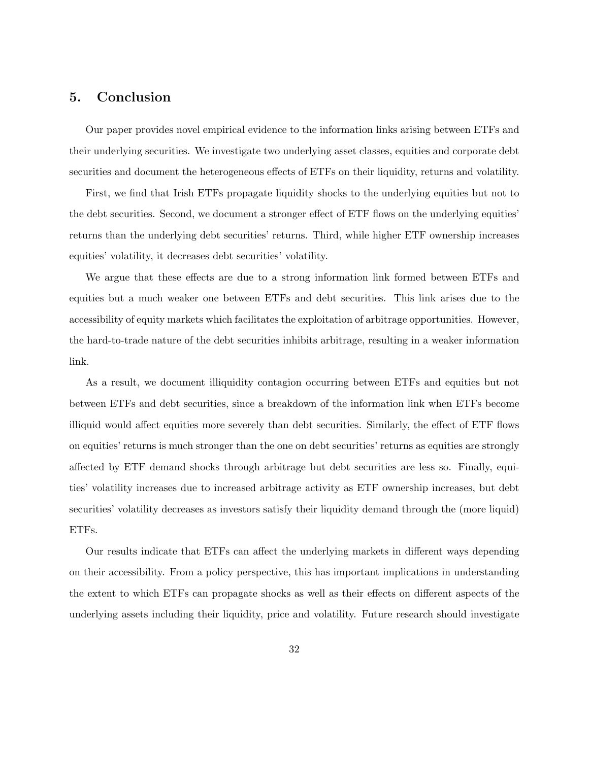## <span id="page-32-0"></span>5. Conclusion

Our paper provides novel empirical evidence to the information links arising between ETFs and their underlying securities. We investigate two underlying asset classes, equities and corporate debt securities and document the heterogeneous effects of ETFs on their liquidity, returns and volatility.

First, we find that Irish ETFs propagate liquidity shocks to the underlying equities but not to the debt securities. Second, we document a stronger effect of ETF flows on the underlying equities' returns than the underlying debt securities' returns. Third, while higher ETF ownership increases equities' volatility, it decreases debt securities' volatility.

We argue that these effects are due to a strong information link formed between ETFs and equities but a much weaker one between ETFs and debt securities. This link arises due to the accessibility of equity markets which facilitates the exploitation of arbitrage opportunities. However, the hard-to-trade nature of the debt securities inhibits arbitrage, resulting in a weaker information link.

As a result, we document illiquidity contagion occurring between ETFs and equities but not between ETFs and debt securities, since a breakdown of the information link when ETFs become illiquid would affect equities more severely than debt securities. Similarly, the effect of ETF flows on equities' returns is much stronger than the one on debt securities' returns as equities are strongly affected by ETF demand shocks through arbitrage but debt securities are less so. Finally, equities' volatility increases due to increased arbitrage activity as ETF ownership increases, but debt securities' volatility decreases as investors satisfy their liquidity demand through the (more liquid) ETFs.

Our results indicate that ETFs can affect the underlying markets in different ways depending on their accessibility. From a policy perspective, this has important implications in understanding the extent to which ETFs can propagate shocks as well as their effects on different aspects of the underlying assets including their liquidity, price and volatility. Future research should investigate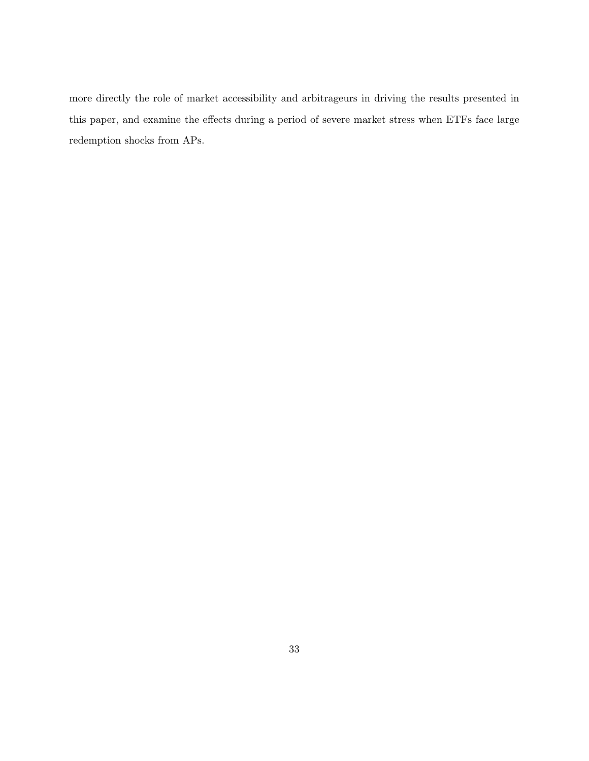more directly the role of market accessibility and arbitrageurs in driving the results presented in this paper, and examine the effects during a period of severe market stress when ETFs face large redemption shocks from APs.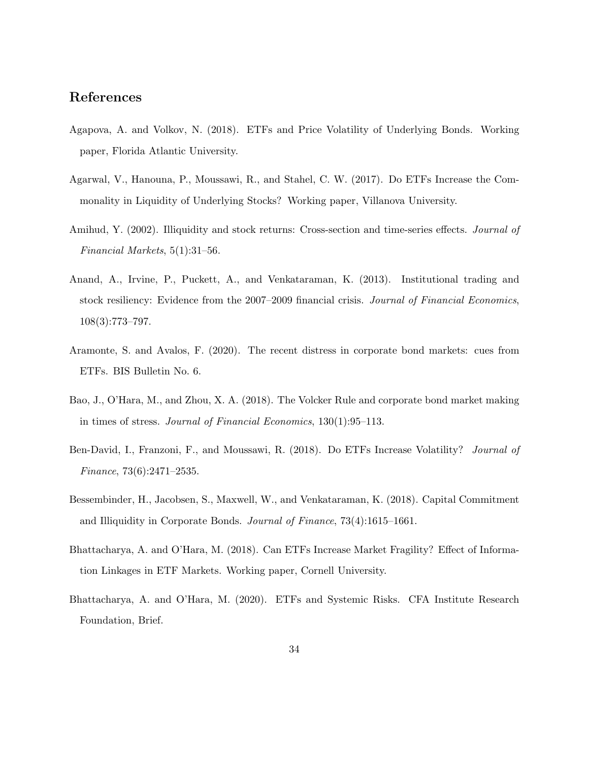## References

- <span id="page-34-7"></span>Agapova, A. and Volkov, N. (2018). ETFs and Price Volatility of Underlying Bonds. Working paper, Florida Atlantic University.
- <span id="page-34-4"></span>Agarwal, V., Hanouna, P., Moussawi, R., and Stahel, C. W. (2017). Do ETFs Increase the Commonality in Liquidity of Underlying Stocks? Working paper, Villanova University.
- <span id="page-34-9"></span>Amihud, Y. (2002). Illiquidity and stock returns: Cross-section and time-series effects. Journal of Financial Markets, 5(1):31–56.
- <span id="page-34-3"></span>Anand, A., Irvine, P., Puckett, A., and Venkataraman, K. (2013). Institutional trading and stock resiliency: Evidence from the 2007–2009 financial crisis. Journal of Financial Economics, 108(3):773–797.
- <span id="page-34-8"></span>Aramonte, S. and Avalos, F. (2020). The recent distress in corporate bond markets: cues from ETFs. BIS Bulletin No. 6.
- <span id="page-34-2"></span>Bao, J., O'Hara, M., and Zhou, X. A. (2018). The Volcker Rule and corporate bond market making in times of stress. Journal of Financial Economics, 130(1):95–113.
- <span id="page-34-5"></span>Ben-David, I., Franzoni, F., and Moussawi, R. (2018). Do ETFs Increase Volatility? Journal of Finance, 73(6):2471–2535.
- <span id="page-34-1"></span>Bessembinder, H., Jacobsen, S., Maxwell, W., and Venkataraman, K. (2018). Capital Commitment and Illiquidity in Corporate Bonds. Journal of Finance, 73(4):1615–1661.
- <span id="page-34-6"></span>Bhattacharya, A. and O'Hara, M. (2018). Can ETFs Increase Market Fragility? Effect of Information Linkages in ETF Markets. Working paper, Cornell University.
- <span id="page-34-0"></span>Bhattacharya, A. and O'Hara, M. (2020). ETFs and Systemic Risks. CFA Institute Research Foundation, Brief.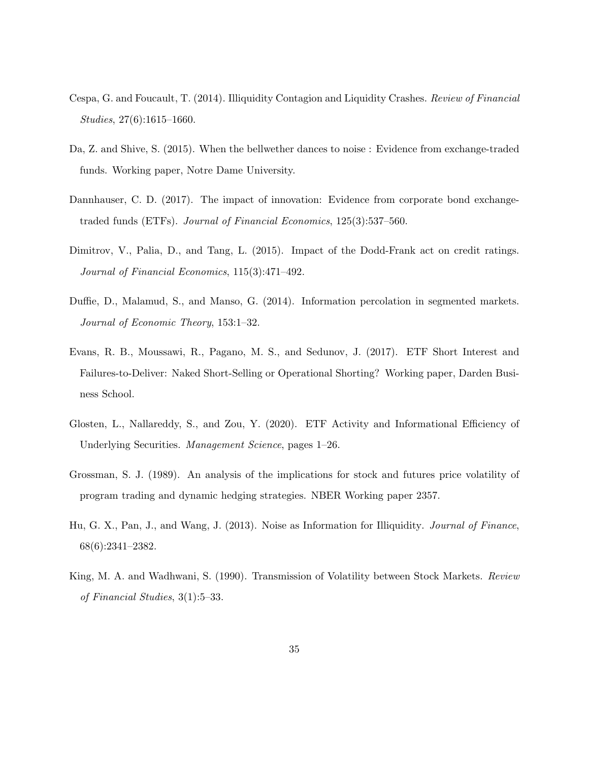- <span id="page-35-1"></span>Cespa, G. and Foucault, T. (2014). Illiquidity Contagion and Liquidity Crashes. Review of Financial Studies, 27(6):1615–1660.
- <span id="page-35-3"></span>Da, Z. and Shive, S. (2015). When the bellwether dances to noise : Evidence from exchange-traded funds. Working paper, Notre Dame University.
- <span id="page-35-4"></span>Dannhauser, C. D. (2017). The impact of innovation: Evidence from corporate bond exchangetraded funds (ETFs). Journal of Financial Economics, 125(3):537–560.
- <span id="page-35-9"></span>Dimitrov, V., Palia, D., and Tang, L. (2015). Impact of the Dodd-Frank act on credit ratings. Journal of Financial Economics, 115(3):471–492.
- <span id="page-35-6"></span>Duffie, D., Malamud, S., and Manso, G. (2014). Information percolation in segmented markets. Journal of Economic Theory, 153:1–32.
- <span id="page-35-8"></span>Evans, R. B., Moussawi, R., Pagano, M. S., and Sedunov, J. (2017). ETF Short Interest and Failures-to-Deliver: Naked Short-Selling or Operational Shorting? Working paper, Darden Business School.
- <span id="page-35-2"></span>Glosten, L., Nallareddy, S., and Zou, Y. (2020). ETF Activity and Informational Efficiency of Underlying Securities. Management Science, pages 1–26.
- <span id="page-35-5"></span>Grossman, S. J. (1989). An analysis of the implications for stock and futures price volatility of program trading and dynamic hedging strategies. NBER Working paper 2357.
- <span id="page-35-7"></span>Hu, G. X., Pan, J., and Wang, J. (2013). Noise as Information for Illiquidity. Journal of Finance, 68(6):2341–2382.
- <span id="page-35-0"></span>King, M. A. and Wadhwani, S. (1990). Transmission of Volatility between Stock Markets. Review of Financial Studies, 3(1):5–33.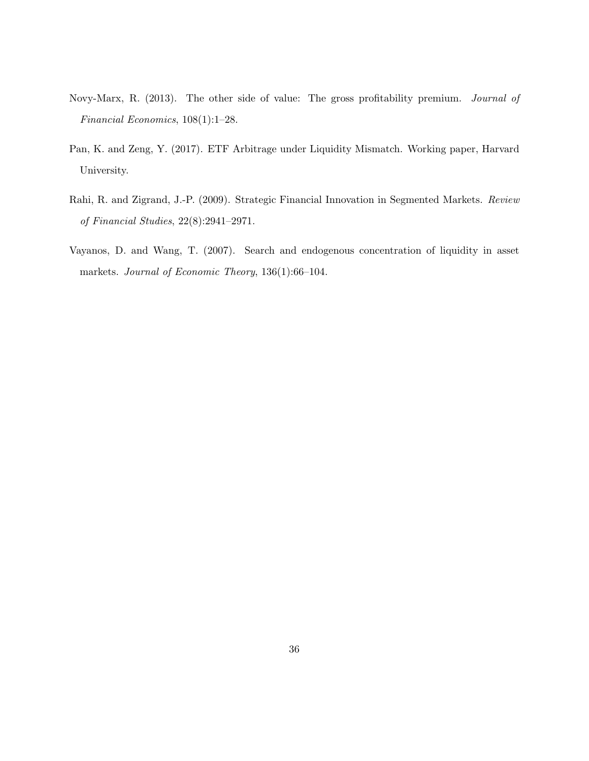- <span id="page-36-3"></span>Novy-Marx, R. (2013). The other side of value: The gross profitability premium. Journal of Financial Economics, 108(1):1–28.
- <span id="page-36-1"></span>Pan, K. and Zeng, Y. (2017). ETF Arbitrage under Liquidity Mismatch. Working paper, Harvard University.
- <span id="page-36-2"></span>Rahi, R. and Zigrand, J.-P. (2009). Strategic Financial Innovation in Segmented Markets. Review of Financial Studies, 22(8):2941–2971.
- <span id="page-36-0"></span>Vayanos, D. and Wang, T. (2007). Search and endogenous concentration of liquidity in asset markets. Journal of Economic Theory, 136(1):66-104.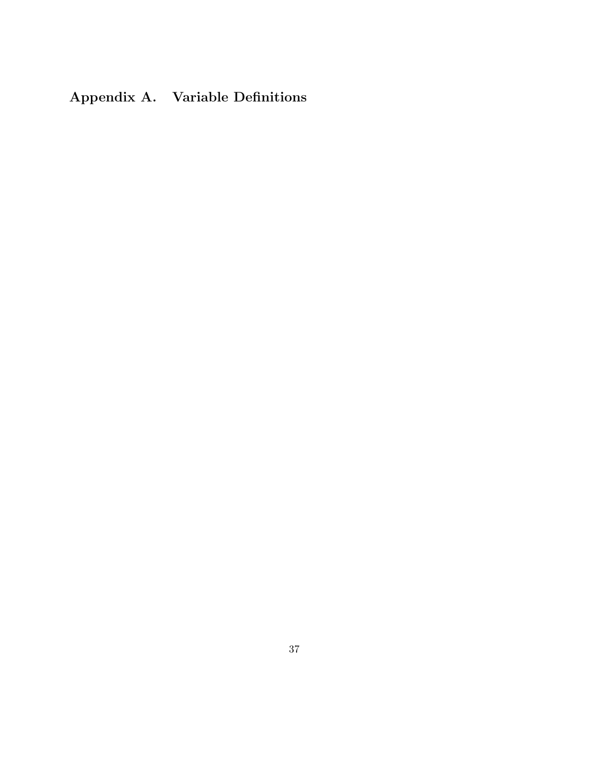# <span id="page-37-0"></span>Appendix A. Variable Definitions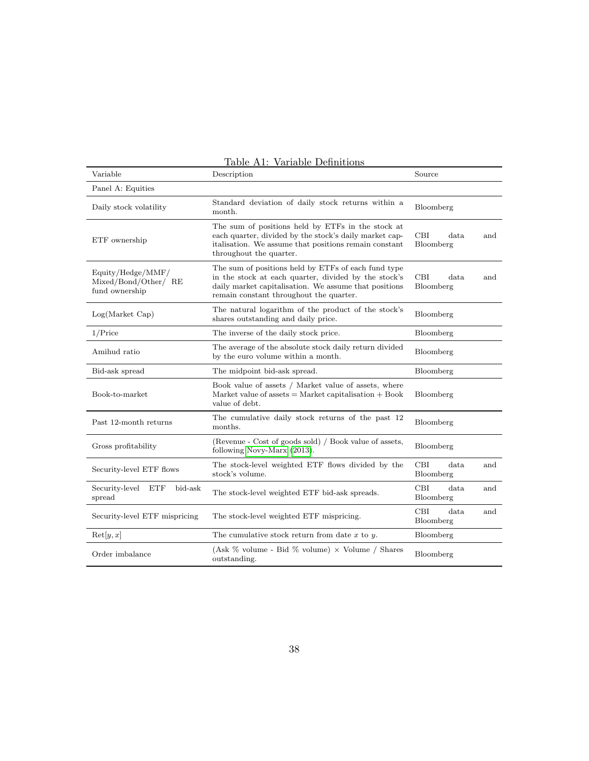| Variable                                                    | Description                                                                                                                                                                                                     | Source                          |  |  |
|-------------------------------------------------------------|-----------------------------------------------------------------------------------------------------------------------------------------------------------------------------------------------------------------|---------------------------------|--|--|
| Panel A: Equities                                           |                                                                                                                                                                                                                 |                                 |  |  |
| Daily stock volatility                                      | Standard deviation of daily stock returns within a<br>month.                                                                                                                                                    | Bloomberg                       |  |  |
| ETF ownership                                               | The sum of positions held by ETFs in the stock at<br>each quarter, divided by the stock's daily market cap-<br>italisation. We assume that positions remain constant<br>throughout the quarter.                 | CBI<br>data<br>and<br>Bloomberg |  |  |
| Equity/Hedge/MMF/<br>Mixed/Bond/Other/ RE<br>fund ownership | The sum of positions held by ETFs of each fund type<br>in the stock at each quarter, divided by the stock's<br>daily market capitalisation. We assume that positions<br>remain constant throughout the quarter. | CBI<br>data<br>and<br>Bloomberg |  |  |
| Log(Marker Cap)                                             | The natural logarithm of the product of the stock's<br>shares outstanding and daily price.                                                                                                                      | Bloomberg                       |  |  |
| $1/P$ rice                                                  | The inverse of the daily stock price.                                                                                                                                                                           | Bloomberg                       |  |  |
| Amihud ratio                                                | The average of the absolute stock daily return divided<br>by the euro volume within a month.                                                                                                                    | Bloomberg                       |  |  |
| Bid-ask spread                                              | The midpoint bid-ask spread.                                                                                                                                                                                    | Bloomberg                       |  |  |
| Book-to-market                                              | Book value of assets / Market value of assets, where<br>Market value of assets $=$ Market capitalisation $+$ Book<br>value of debt.                                                                             | Bloomberg                       |  |  |
|                                                             |                                                                                                                                                                                                                 |                                 |  |  |
| Past 12-month returns                                       | The cumulative daily stock returns of the past 12<br>months.                                                                                                                                                    | Bloomberg                       |  |  |
| Gross profitability                                         | (Revenue - Cost of goods sold) / Book value of assets,<br>following Novy-Marx (2013).                                                                                                                           | Bloomberg                       |  |  |
| Security-level ETF flows                                    | The stock-level weighted ETF flows divided by the<br>stock's volume.                                                                                                                                            | CBI<br>data<br>and<br>Bloomberg |  |  |
| Security-level<br>ETF<br>bid-ask<br>spread                  | The stock-level weighted ETF bid-ask spreads.                                                                                                                                                                   | CBI<br>data<br>and<br>Bloomberg |  |  |
| Security-level ETF mispricing                               | The stock-level weighted ETF mispricing.                                                                                                                                                                        | CBI<br>data<br>and<br>Bloomberg |  |  |
| $\text{Ret}[y, x]$                                          | The cumulative stock return from date $x$ to $y$ .                                                                                                                                                              | Bloomberg                       |  |  |

Table A1: Variable Definitions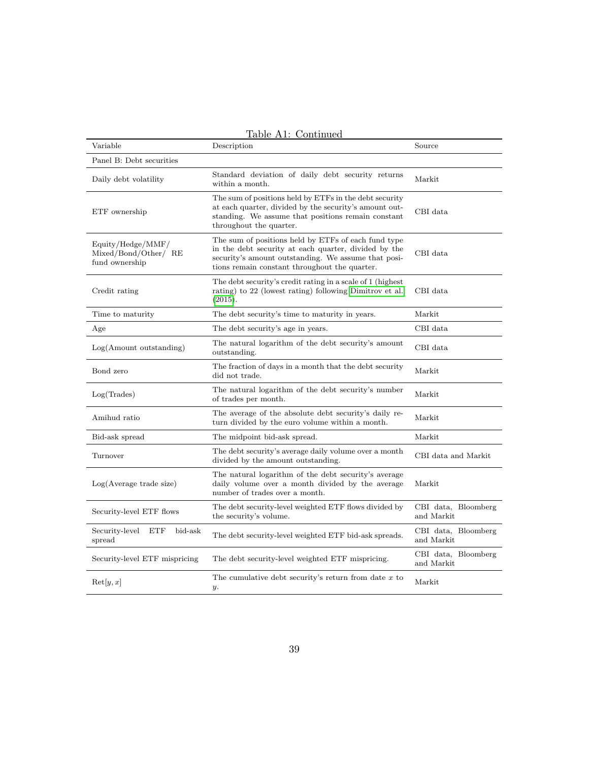| Variable                                                    | Description                                                                                                                                                                                                         | Source                            |
|-------------------------------------------------------------|---------------------------------------------------------------------------------------------------------------------------------------------------------------------------------------------------------------------|-----------------------------------|
| Panel B: Debt securities                                    |                                                                                                                                                                                                                     |                                   |
| Daily debt volatility                                       | Standard deviation of daily debt security returns<br>within a month.                                                                                                                                                | Markit                            |
| ETF ownership                                               | The sum of positions held by ETFs in the debt security<br>at each quarter, divided by the security's amount out-<br>standing. We assume that positions remain constant<br>throughout the quarter.                   | CBI data                          |
| Equity/Hedge/MMF/<br>Mixed/Bond/Other/ RE<br>fund ownership | The sum of positions held by ETFs of each fund type<br>in the debt security at each quarter, divided by the<br>security's amount outstanding. We assume that posi-<br>tions remain constant throughout the quarter. | CBI data                          |
| Credit rating                                               | The debt security's credit rating in a scale of 1 (highest)<br>rating) to 22 (lowest rating) following Dimitrov et al.<br>(2015).                                                                                   | CBI data                          |
| Time to maturity                                            | The debt security's time to maturity in years.                                                                                                                                                                      | Markit                            |
| Age                                                         | The debt security's age in years.                                                                                                                                                                                   | CBI data                          |
| $Log(A$ mount outstanding)                                  | The natural logarithm of the debt security's amount<br>outstanding.                                                                                                                                                 | CBI data                          |
| Bond zero                                                   | The fraction of days in a month that the debt security<br>did not trade.                                                                                                                                            | Markit                            |
| Log(Trades)                                                 | The natural logarithm of the debt security's number<br>of trades per month.                                                                                                                                         | Markit                            |
| Amihud ratio                                                | The average of the absolute debt security's daily re-<br>turn divided by the euro volume within a month.                                                                                                            | Markit                            |
| Bid-ask spread                                              | The midpoint bid-ask spread.                                                                                                                                                                                        | Markit                            |
| Turnover                                                    | The debt security's average daily volume over a month<br>divided by the amount outstanding.                                                                                                                         | CBI data and Markit               |
| Log(Average trade size)                                     | The natural logarithm of the debt security's average<br>daily volume over a month divided by the average<br>number of trades over a month.                                                                          | Markit                            |
| Security-level ETF flows                                    | The debt security-level weighted ETF flows divided by<br>the security's volume.                                                                                                                                     | CBI data, Bloomberg<br>and Markit |
| Security-level<br><b>ETF</b><br>bid-ask<br>spread           | The debt security-level weighted ETF bid-ask spreads.                                                                                                                                                               | CBI data, Bloomberg<br>and Markit |
| Security-level ETF mispricing                               | The debt security-level weighted ETF mispricing.                                                                                                                                                                    | CBI data, Bloomberg<br>and Markit |
| $\text{Ret}[y, x]$                                          | The cumulative debt security's return from date $x$ to<br>$y$ .                                                                                                                                                     | Markit                            |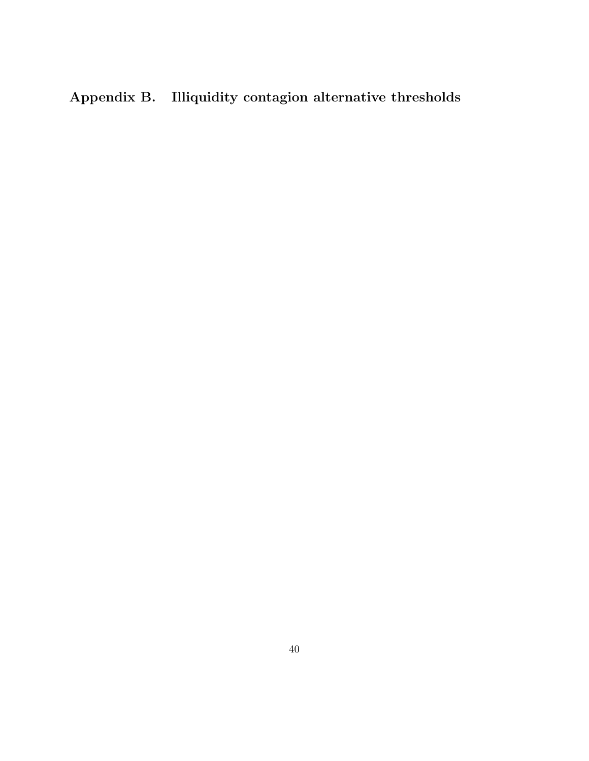# <span id="page-40-0"></span>Appendix B. Illiquidity contagion alternative thresholds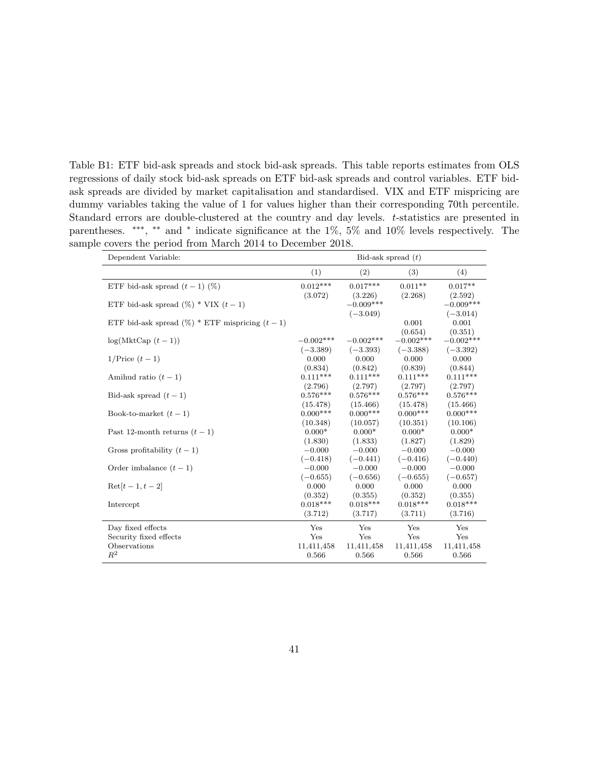<span id="page-41-0"></span>Table B1: ETF bid-ask spreads and stock bid-ask spreads. This table reports estimates from OLS regressions of daily stock bid-ask spreads on ETF bid-ask spreads and control variables. ETF bidask spreads are divided by market capitalisation and standardised. VIX and ETF mispricing are dummy variables taking the value of 1 for values higher than their corresponding 70th percentile. Standard errors are double-clustered at the country and day levels. t-statistics are presented in parentheses. \*\*\*, \*\* and \* indicate significance at the 1%, 5% and 10% levels respectively. The sample covers the period from March 2014 to December 2018.

| Dependent Variable:                                | Bid-ask spread $(t)$  |                       |                       |                       |
|----------------------------------------------------|-----------------------|-----------------------|-----------------------|-----------------------|
|                                                    | (1)<br>(2)<br>(3)     |                       |                       |                       |
| ETF bid-ask spread $(t-1)$ (%)                     | $0.012***$            | $0.017***$            | $0.011**$             | $0.017**$             |
|                                                    | (3.072)               | (3.226)               | (2.268)               | (2.592)               |
| ETF bid-ask spread $(\%)$ * VIX $(t-1)$            |                       | $-0.009***$           |                       | $-0.009***$           |
|                                                    |                       | $(-3.049)$            |                       | $(-3.014)$            |
| ETF bid-ask spread $(\%)$ * ETF mispricing $(t-1)$ |                       |                       | 0.001                 | 0.001                 |
|                                                    |                       |                       | (0.654)               | (0.351)               |
| $log(MktCap(t-1))$                                 | $-0.002***$           | $-0.002***$           | $-0.002***$           | $-0.002***$           |
|                                                    | $(-3.389)$            | $(-3.393)$            | $(-3.388)$            | $(-3.392)$            |
| $1/\text{Price } (t-1)$                            | 0.000                 | 0.000                 | 0.000                 | 0.000                 |
|                                                    | (0.834)<br>$0.111***$ | (0.842)<br>$0.111***$ | (0.839)<br>$0.111***$ | (0.844)<br>$0.111***$ |
| Amihud ratio $(t-1)$                               |                       |                       |                       |                       |
|                                                    | (2.796)<br>$0.576***$ | (2.797)<br>$0.576***$ | (2.797)<br>$0.576***$ | (2.797)<br>$0.576***$ |
| Bid-ask spread $(t-1)$                             | (15.478)              | (15.466)              | (15.478)              | (15.466)              |
| Book-to-market $(t-1)$                             | $0.000***$            | $0.000***$            | $0.000***$            | $0.000***$            |
|                                                    | (10.348)              | (10.057)              | (10.351)              | (10.106)              |
| Past 12-month returns $(t-1)$                      | $0.000*$              | $0.000*$              | $0.000*$              | $0.000*$              |
|                                                    | (1.830)               | (1.833)               | (1.827)               | (1.829)               |
| Gross profitability $(t-1)$                        | $-0.000$              | $-0.000$              | $-0.000$              | $-0.000$              |
|                                                    | $(-0.418)$            | $(-0.441)$            | $(-0.416)$            | $(-0.440)$            |
| Order imbalance $(t-1)$                            | $-0.000$              | $-0.000$              | $-0.000$              | $-0.000$              |
|                                                    | $(-0.655)$            | $(-0.656)$            | $(-0.655)$            | $(-0.657)$            |
| $\text{Ret}[t-1, t-2]$                             | 0.000                 | 0.000                 | 0.000                 | 0.000                 |
|                                                    | (0.352)               | (0.355)               | (0.352)               | (0.355)               |
| Intercept                                          | $0.018***$            | $0.018***$            | $0.018***$            | $0.018***$            |
|                                                    | (3.712)               | (3.717)               | (3.711)               | (3.716)               |
| Day fixed effects                                  | Yes                   | Yes                   | Yes                   | Yes                   |
| Security fixed effects                             | Yes                   | Yes                   | Yes                   | Yes                   |
| Observations                                       | 11,411,458            | 11,411,458            | 11,411,458            | 11,411,458            |
| $R^2$                                              | 0.566                 | 0.566                 | 0.566                 | 0.566                 |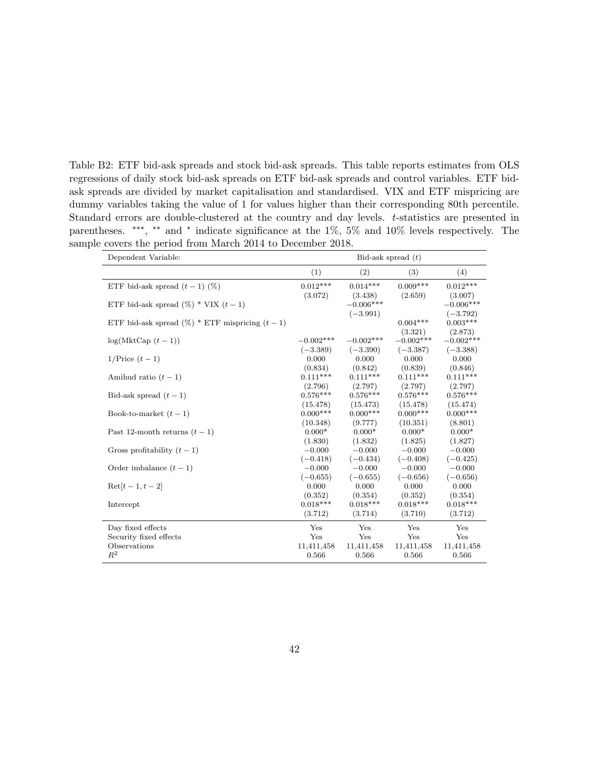<span id="page-42-0"></span>Table B2: ETF bid-ask spreads and stock bid-ask spreads. This table reports estimates from OLS regressions of daily stock bid-ask spreads on ETF bid-ask spreads and control variables. ETF bidask spreads are divided by market capitalisation and standardised. VIX and ETF mispricing are dummy variables taking the value of 1 for values higher than their corresponding 80th percentile. Standard errors are double-clustered at the country and day levels. t-statistics are presented in parentheses. \*\*\*, \*\* and \* indicate significance at the 1%, 5% and 10% levels respectively. The sample covers the period from March 2014 to December 2018.

| Dependent Variable:                                | Bid-ask spread $(t)$  |                       |                       |             |
|----------------------------------------------------|-----------------------|-----------------------|-----------------------|-------------|
|                                                    | (1)                   | (2)                   | (3)                   | (4)         |
| ETF bid-ask spread $(t-1)$ (%)                     | $0.012***$            | $0.014***$            | $0.009***$            | $0.012***$  |
|                                                    | (3.072)               | (3.438)               | (2.659)               | (3.007)     |
| ETF bid-ask spread $(\%)$ * VIX $(t-1)$            |                       | $-0.006***$           |                       | $-0.006***$ |
|                                                    |                       | $(-3.991)$            |                       | $(-3.792)$  |
| ETF bid-ask spread $(\%)$ * ETF mispricing $(t-1)$ |                       |                       | $0.004***$            | $0.003***$  |
|                                                    |                       |                       | (3.321)               | (2.873)     |
| $log(MktCap(t-1))$                                 | $-0.002***$           | $-0.002***$           | $-0.002***$           | $-0.002***$ |
|                                                    | $(-3.389)$            | $(-3.390)$            | $(-3.387)$            | $(-3.388)$  |
| $1/\text{Price } (t-1)$                            | 0.000                 | 0.000                 | 0.000                 | 0.000       |
|                                                    | (0.834)               | (0.842)               | (0.839)               | (0.846)     |
| Amihud ratio $(t-1)$                               | $0.111***$            | $0.111***$            | $0.111***$            | $0.111***$  |
|                                                    | (2.796)               | (2.797)               | (2.797)               | (2.797)     |
| Bid-ask spread $(t-1)$                             | $0.576***$            | $0.576***$            | $0.576***$            | $0.576***$  |
|                                                    | (15.478)              | (15.473)              | (15.478)              | (15.474)    |
| Book-to-market $(t-1)$                             | $0.000***$            | $0.000$ ***           | $0.000***$            | $0.000***$  |
|                                                    | (10.348)              | (9.777)               | (10.351)              | (8.801)     |
| Past 12-month returns $(t-1)$                      | $0.000*$              | $0.000*$              | $0.000*$              | $0.000*$    |
|                                                    | (1.830)               | (1.832)               | (1.825)               | (1.827)     |
| Gross profitability $(t-1)$                        | $-0.000$              | $-0.000$              | $-0.000$              | $-0.000$    |
|                                                    | $(-0.418)$            | $(-0.434)$            | $(-0.408)$            | $(-0.425)$  |
| Order imbalance $(t-1)$                            | $-0.000$              | $-0.000$              | $-0.000$              | $-0.000$    |
|                                                    | $(-0.655)$            | $(-0.655)$            | $(-0.656)$            | $(-0.656)$  |
| $\text{Ret}[t-1, t-2]$                             | 0.000                 | 0.000                 | 0.000                 | 0.000       |
|                                                    | (0.352)<br>$0.018***$ | (0.354)<br>$0.018***$ | (0.352)<br>$0.018***$ | (0.354)     |
| Intercept                                          |                       |                       |                       | $0.018***$  |
|                                                    | (3.712)               | (3.714)               | (3.710)               | (3.712)     |
| Day fixed effects                                  | Yes                   | Yes                   | Yes                   | Yes         |
| Security fixed effects                             | Yes                   | Yes                   | Yes                   | Yes         |
| Observations                                       | 11,411,458            | 11,411,458            | 11,411,458            | 11,411,458  |
| $R^2$                                              | 0.566                 | 0.566                 | 0.566                 | 0.566       |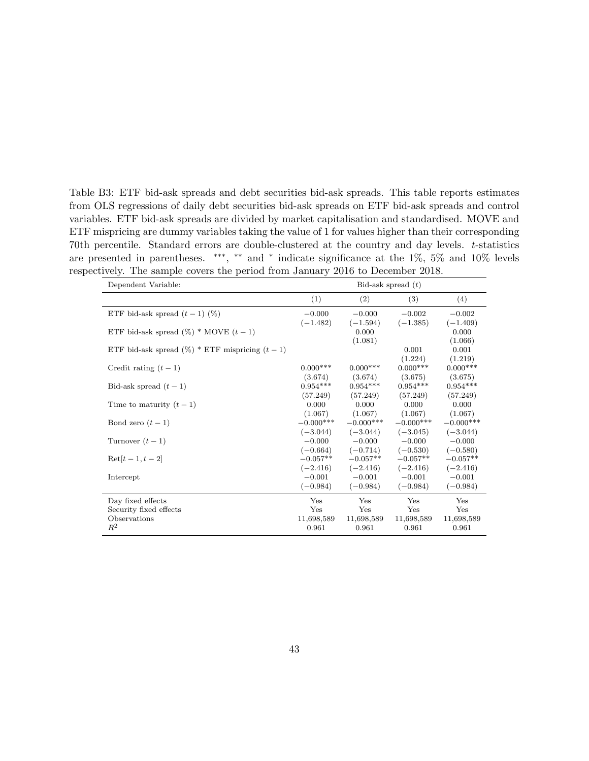<span id="page-43-0"></span>Table B3: ETF bid-ask spreads and debt securities bid-ask spreads. This table reports estimates from OLS regressions of daily debt securities bid-ask spreads on ETF bid-ask spreads and control variables. ETF bid-ask spreads are divided by market capitalisation and standardised. MOVE and ETF mispricing are dummy variables taking the value of 1 for values higher than their corresponding 70th percentile. Standard errors are double-clustered at the country and day levels. t-statistics are presented in parentheses. \*\*\*, \*\* and \* indicate significance at the 1%, 5% and 10% levels respectively. The sample covers the period from January 2016 to December 2018.

| Dependent Variable:                                | Bid-ask spread $(t)$ |                 |             |             |
|----------------------------------------------------|----------------------|-----------------|-------------|-------------|
|                                                    | (1)                  | (2)             | (3)         | (4)         |
| ETF bid-ask spread $(t-1)$ (%)                     | $-0.000$             | $-0.000$        | $-0.002$    | $-0.002$    |
|                                                    | $(-1.482)$           | $(-1.594)$      | $(-1.385)$  | $(-1.409)$  |
| ETF bid-ask spread $(\%)$ * MOVE $(t-1)$           |                      | 0.000           |             | 0.000       |
|                                                    |                      | (1.081)         |             | (1.066)     |
| ETF bid-ask spread $(\%)$ * ETF mispricing $(t-1)$ |                      |                 | 0.001       | 0.001       |
|                                                    |                      |                 | (1.224)     | (1.219)     |
| Credit rating $(t-1)$                              | $0.000***$           | $0.000***$      | $0.000***$  | $0.000***$  |
|                                                    | (3.674)              | (3.674)         | (3.675)     | (3.675)     |
| Bid-ask spread $(t-1)$                             | $0.954***$           | $0.954***$      | $0.954***$  | $0.954***$  |
|                                                    | (57.249)             | (57.249)        | (57.249)    | (57.249)    |
| Time to maturity $(t-1)$                           | 0.000                | 0.000           | 0.000       | 0.000       |
|                                                    | (1.067)              | (1.067)         | (1.067)     | (1.067)     |
| Bond zero $(t-1)$                                  | $-0.000***$          | $-0.000$ ***    | $-0.000***$ | $-0.000***$ |
|                                                    | $(-3.044)$           | $(-3.044)$      | $(-3.045)$  | $(-3.044)$  |
| Turnover $(t-1)$                                   |                      | $-0.000 -0.000$ | $-0.000$    | $-0.000$    |
|                                                    | $(-0.664)$           | $(-0.714)$      | $(-0.530)$  | $(-0.580)$  |
| $\text{Ret}[t-1, t-2]$                             | $-0.057**$           | $-0.057**$      | $-0.057**$  | $-0.057**$  |
|                                                    | $(-2.416)$           | $(-2.416)$      | $(-2.416)$  | $(-2.416)$  |
| Intercept                                          | $-0.001$             | $-0.001$        | $-0.001$    | $-0.001$    |
|                                                    | $(-0.984)$           | $(-0.984)$      | $(-0.984)$  | $(-0.984)$  |
| Day fixed effects                                  | Yes                  | Yes             | Yes         | Yes         |
| Security fixed effects                             | Yes                  | Yes             | Yes         | Yes         |
| Observations                                       | 11,698,589           | 11,698,589      | 11,698,589  | 11,698,589  |
| $\mathbb{R}^2$                                     | 0.961                | 0.961           | 0.961       | 0.961       |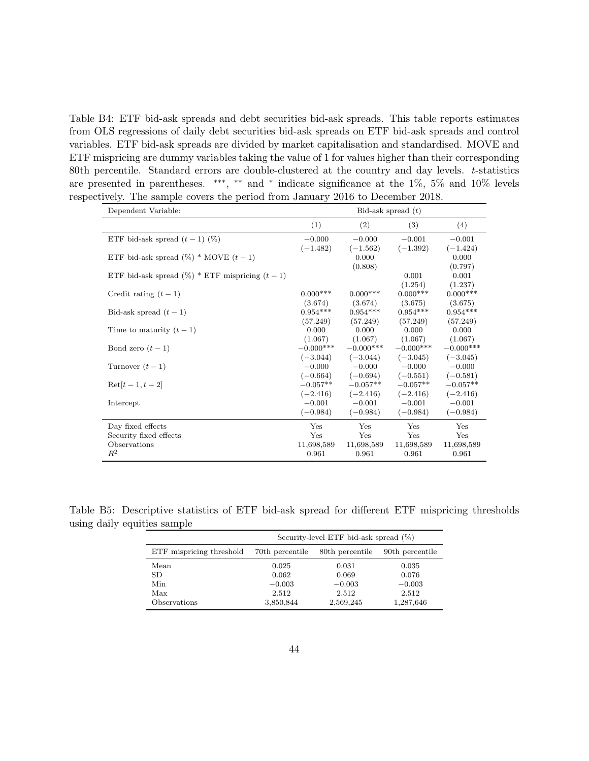<span id="page-44-0"></span>Table B4: ETF bid-ask spreads and debt securities bid-ask spreads. This table reports estimates from OLS regressions of daily debt securities bid-ask spreads on ETF bid-ask spreads and control variables. ETF bid-ask spreads are divided by market capitalisation and standardised. MOVE and ETF mispricing are dummy variables taking the value of 1 for values higher than their corresponding 80th percentile. Standard errors are double-clustered at the country and day levels.  $t$ -statistics are presented in parentheses. \*\*\*, \*\* and \* indicate significance at the 1%, 5% and 10% levels respectively. The sample covers the period from January 2016 to December 2018.

| Dependent Variable:                                | Bid-ask spread $(t)$                 |                                            |                                                 |                                      |
|----------------------------------------------------|--------------------------------------|--------------------------------------------|-------------------------------------------------|--------------------------------------|
|                                                    | (1)                                  | (2)                                        | (3)                                             | (4)                                  |
| ETF bid-ask spread $(t-1)$ (%)                     | $-0.000$<br>$(-1.482)$               | $-0.000$<br>$(-1.562)$                     | $-0.001$<br>$(-1.392)$                          | $-0.001$<br>$(-1.424)$               |
| ETF bid-ask spread $(\%)$ * MOVE $(t-1)$           |                                      | 0.000                                      |                                                 | 0.000                                |
| ETF bid-ask spread $(\%)$ * ETF mispricing $(t-1)$ |                                      | (0.808)                                    | 0.001                                           | (0.797)<br>0.001                     |
| Credit rating $(t-1)$                              | $0.000***$                           | $0.000***$                                 | (1.254)<br>$0.000***$                           | (1.237)<br>$0.000***$                |
| Bid-ask spread $(t-1)$                             | (3.674)<br>$0.954***$                | (3.674)<br>$0.954***$                      | (3.675)<br>$0.954***$                           | (3.675)<br>$0.954***$                |
| Time to maturity $(t-1)$                           | (57.249)<br>0.000                    | (57.249)<br>0.000                          | (57.249)<br>0.000                               | (57.249)<br>0.000                    |
| Bond zero $(t-1)$                                  | (1.067)<br>$-0.000***$               | (1.067)<br>$-0.000***$                     | (1.067)<br>$-0.000***$                          | (1.067)<br>$-0.000***$               |
| Turnover $(t-1)$                                   |                                      | $(-3.044)$ $(-3.044)$<br>$-0.000$ $-0.000$ | $(-3.045)$<br>$-0.000$                          | $(-3.045)$<br>$-0.000$               |
| $\text{Ret}[t-1, t-2]$                             | $(-0.664)$<br>$-0.057**$             | $(-0.694)$<br>$-0.057**$                   | $(-0.551)$<br>$-0.057**$                        | $(-0.581)$<br>$-0.057**$             |
| Intercept                                          | $(-2.416)$<br>$-0.001$<br>$(-0.984)$ | $-0.001$<br>$(-0.984)$                     | $(-2.416)$ $(-2.416)$<br>$-0.001$<br>$(-0.984)$ | $(-2.416)$<br>$-0.001$<br>$(-0.984)$ |
|                                                    | Yes                                  | Yes                                        | Yes                                             | Yes                                  |
| Day fixed effects<br>Security fixed effects        | Yes                                  | Yes                                        | Yes                                             | Yes                                  |
| Observations                                       | 11,698,589                           | 11,698,589                                 | 11,698,589                                      | 11,698,589                           |
| $R^2$                                              | 0.961                                | 0.961                                      | 0.961                                           | 0.961                                |

Table B5: Descriptive statistics of ETF bid-ask spread for different ETF mispricing thresholds using daily equities sample

<span id="page-44-1"></span>

|                          | Security-level ETF bid-ask spread $(\%)$ |                 |                 |  |  |
|--------------------------|------------------------------------------|-----------------|-----------------|--|--|
| ETF mispricing threshold | 70th percentile                          | 80th percentile | 90th percentile |  |  |
| Mean                     | 0.025                                    | 0.031           | 0.035           |  |  |
| <b>SD</b>                | 0.062                                    | 0.069           | 0.076           |  |  |
| Min                      | $-0.003$                                 | $-0.003$        | $-0.003$        |  |  |
| Max                      | 2.512                                    | 2.512           | 2.512           |  |  |
| Observations             | 3,850,844                                | 2,569,245       | 1,287,646       |  |  |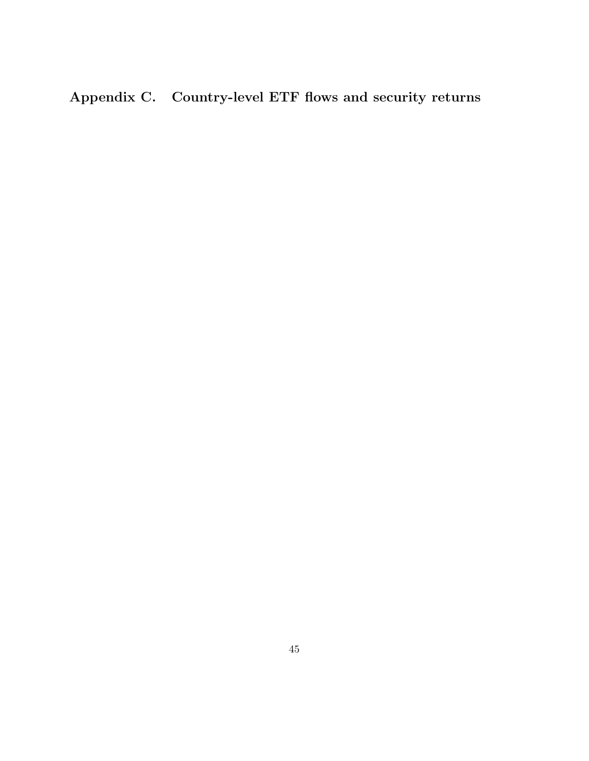<span id="page-45-0"></span>Appendix C. Country-level ETF flows and security returns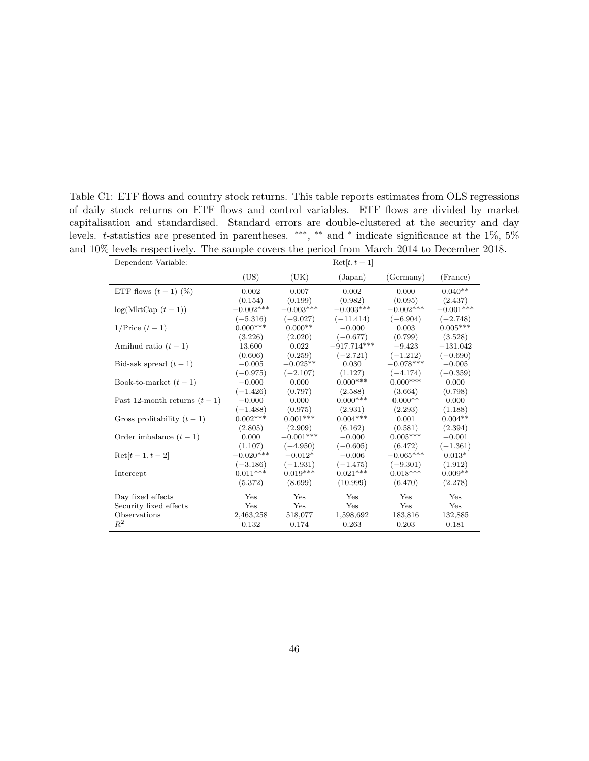<span id="page-46-0"></span>Table C1: ETF flows and country stock returns. This table reports estimates from OLS regressions of daily stock returns on ETF flows and control variables. ETF flows are divided by market capitalisation and standardised. Standard errors are double-clustered at the security and day levels. t-statistics are presented in parentheses. \*\*\*, \*\* and \* indicate significance at the 1\%, 5\% and 10% levels respectively. The sample covers the period from March 2014 to December 2018.

| Dependent Variable:           |             |             | $\text{Ret}[t, t-1]$ |             |             |
|-------------------------------|-------------|-------------|----------------------|-------------|-------------|
|                               | (US)        | (UK)        | (Japan)              | (Germany)   | (France)    |
| ETF flows $(t-1)$ (%)         | 0.002       | 0.007       | 0.002                | 0.000       | $0.040**$   |
|                               | (0.154)     | (0.199)     | (0.982)              | (0.095)     | (2.437)     |
| $log(MktCap(t-1))$            | $-0.002***$ | $-0.003***$ | $-0.003***$          | $-0.002***$ | $-0.001***$ |
|                               | $(-5.316)$  | $(-9.027)$  | $(-11.414)$          | $(-6.904)$  | $(-2.748)$  |
| $1/\text{Price } (t-1)$       | $0.000***$  | $0.000**$   | $-0.000$             | 0.003       | $0.005***$  |
|                               | (3.226)     | (2.020)     | $(-0.677)$           | (0.799)     | (3.528)     |
| Amihud ratio $(t-1)$          | 13.600      | 0.022       | $-917.714***$        | $-9.423$    | $-131.042$  |
|                               | (0.606)     | (0.259)     | $(-2.721)$           | $(-1.212)$  | $(-0.690)$  |
| Bid-ask spread $(t-1)$        | $-0.005$    | $-0.025**$  | 0.030                | $-0.078***$ | $-0.005$    |
|                               | $(-0.975)$  | $(-2.107)$  | (1.127)              | $(-4.174)$  | $(-0.359)$  |
| Book-to-market $(t-1)$        | $-0.000$    | 0.000       | $0.000$ ***          | $0.000***$  | 0.000       |
|                               | $(-1.426)$  | (0.797)     | (2.588)              | (3.664)     | (0.798)     |
| Past 12-month returns $(t-1)$ | $-0.000$    | 0.000       | $0.000***$           | $0.000**$   | 0.000       |
|                               | $(-1.488)$  | (0.975)     | (2.931)              | (2.293)     | (1.188)     |
| Gross profitability $(t-1)$   | $0.002***$  | $0.001***$  | $0.004***$           | 0.001       | $0.004**$   |
|                               | (2.805)     | (2.909)     | (6.162)              | (0.581)     | (2.394)     |
| Order imbalance $(t-1)$       | 0.000       | $-0.001***$ | $-0.000$             | $0.005***$  | $-0.001$    |
|                               | (1.107)     | $(-4.950)$  | $(-0.605)$           | (6.472)     | $(-1.361)$  |
| $\text{Ret}[t-1, t-2]$        | $-0.020***$ | $-0.012*$   | $-0.006$             | $-0.065***$ | $0.013*$    |
|                               | $(-3.186)$  | $(-1.931)$  | $(-1.475)$           | $(-9.301)$  | (1.912)     |
| Intercept                     | $0.011***$  | $0.019***$  | $0.021***$           | $0.018***$  | $0.009**$   |
|                               | (5.372)     | (8.699)     | (10.999)             | (6.470)     | (2.278)     |
| Day fixed effects             | Yes         | Yes         | Yes                  | Yes         | Yes         |
| Security fixed effects        | Yes         | Yes         | Yes                  | Yes         | Yes         |
| Observations                  | 2,463,258   | 518,077     | 1,598,692            | 183,816     | 132,885     |
| $R^2$                         | 0.132       | 0.174       | 0.263                | 0.203       | 0.181       |